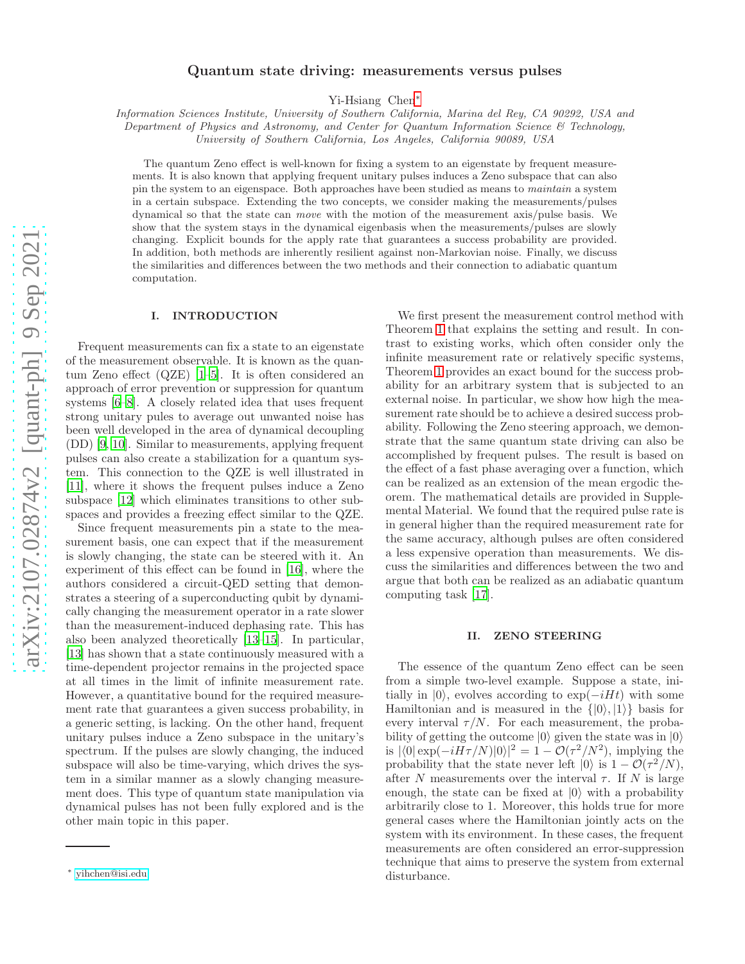# Quantum state driving: measurements versus pulses

Yi-Hsiang Chen[∗](#page-0-0)

Information Sciences Institute, University of Southern California, Marina del Rey, CA 90292, USA and

Department of Physics and Astronomy, and Center for Quantum Information Science & Technology,

University of Southern California, Los Angeles, California 90089, USA

The quantum Zeno effect is well-known for fixing a system to an eigenstate by frequent measurements. It is also known that applying frequent unitary pulses induces a Zeno subspace that can also pin the system to an eigenspace. Both approaches have been studied as means to maintain a system in a certain subspace. Extending the two concepts, we consider making the measurements/pulses dynamical so that the state can move with the motion of the measurement axis/pulse basis. We show that the system stays in the dynamical eigenbasis when the measurements/pulses are slowly changing. Explicit bounds for the apply rate that guarantees a success probability are provided. In addition, both methods are inherently resilient against non-Markovian noise. Finally, we discuss the similarities and differences between the two methods and their connection to adiabatic quantum computation.

### I. INTRODUCTION

Frequent measurements can fix a state to an eigenstate of the measurement observable. It is known as the quantum Zeno effect (QZE) [\[1](#page-4-0)[–5](#page-4-1)]. It is often considered an approach of error prevention or suppression for quantum systems [\[6](#page-4-2)[–8](#page-4-3)]. A closely related idea that uses frequent strong unitary pules to average out unwanted noise has been well developed in the area of dynamical decoupling (DD) [\[9](#page-4-4), [10](#page-4-5)]. Similar to measurements, applying frequent pulses can also create a stabilization for a quantum system. This connection to the QZE is well illustrated in [\[11\]](#page-4-6), where it shows the frequent pulses induce a Zeno subspace [\[12\]](#page-4-7) which eliminates transitions to other subspaces and provides a freezing effect similar to the QZE.

Since frequent measurements pin a state to the measurement basis, one can expect that if the measurement is slowly changing, the state can be steered with it. An experiment of this effect can be found in [\[16\]](#page-4-8), where the authors considered a circuit-QED setting that demonstrates a steering of a superconducting qubit by dynamically changing the measurement operator in a rate slower than the measurement-induced dephasing rate. This has also been analyzed theoretically [\[13](#page-4-9)[–15\]](#page-4-10). In particular, [\[13\]](#page-4-9) has shown that a state continuously measured with a time-dependent projector remains in the projected space at all times in the limit of infinite measurement rate. However, a quantitative bound for the required measurement rate that guarantees a given success probability, in a generic setting, is lacking. On the other hand, frequent unitary pulses induce a Zeno subspace in the unitary's spectrum. If the pulses are slowly changing, the induced subspace will also be time-varying, which drives the system in a similar manner as a slowly changing measurement does. This type of quantum state manipulation via dynamical pulses has not been fully explored and is the other main topic in this paper.

We first present the measurement control method with Theorem [1](#page-1-0) that explains the setting and result. In contrast to existing works, which often consider only the infinite measurement rate or relatively specific systems, Theorem [1](#page-1-0) provides an exact bound for the success probability for an arbitrary system that is subjected to an external noise. In particular, we show how high the measurement rate should be to achieve a desired success probability. Following the Zeno steering approach, we demonstrate that the same quantum state driving can also be accomplished by frequent pulses. The result is based on the effect of a fast phase averaging over a function, which can be realized as an extension of the mean ergodic theorem. The mathematical details are provided in Supplemental Material. We found that the required pulse rate is in general higher than the required measurement rate for the same accuracy, although pulses are often considered a less expensive operation than measurements. We discuss the similarities and differences between the two and argue that both can be realized as an adiabatic quantum computing task [\[17](#page-4-11)].

## II. ZENO STEERING

The essence of the quantum Zeno effect can be seen from a simple two-level example. Suppose a state, initially in  $|0\rangle$ , evolves according to exp( $-iHt$ ) with some Hamiltonian and is measured in the  $\{|0\rangle, |1\rangle\}$  basis for every interval  $\tau/N$ . For each measurement, the probability of getting the outcome  $|0\rangle$  given the state was in  $|0\rangle$ is  $|\langle 0| \exp(-iH\tau/N)|0\rangle|^2 = 1 - \mathcal{O}(\tau^2/N^2)$ , implying the probability that the state never left  $|0\rangle$  is  $1 - \mathcal{O}(\tau^2/N)$ , after N measurements over the interval  $\tau$ . If N is large enough, the state can be fixed at  $|0\rangle$  with a probability arbitrarily close to 1. Moreover, this holds true for more general cases where the Hamiltonian jointly acts on the system with its environment. In these cases, the frequent measurements are often considered an error-suppression technique that aims to preserve the system from external disturbance.

<span id="page-0-0"></span><sup>∗</sup> [yihchen@isi.edu](mailto:yihchen@isi.edu)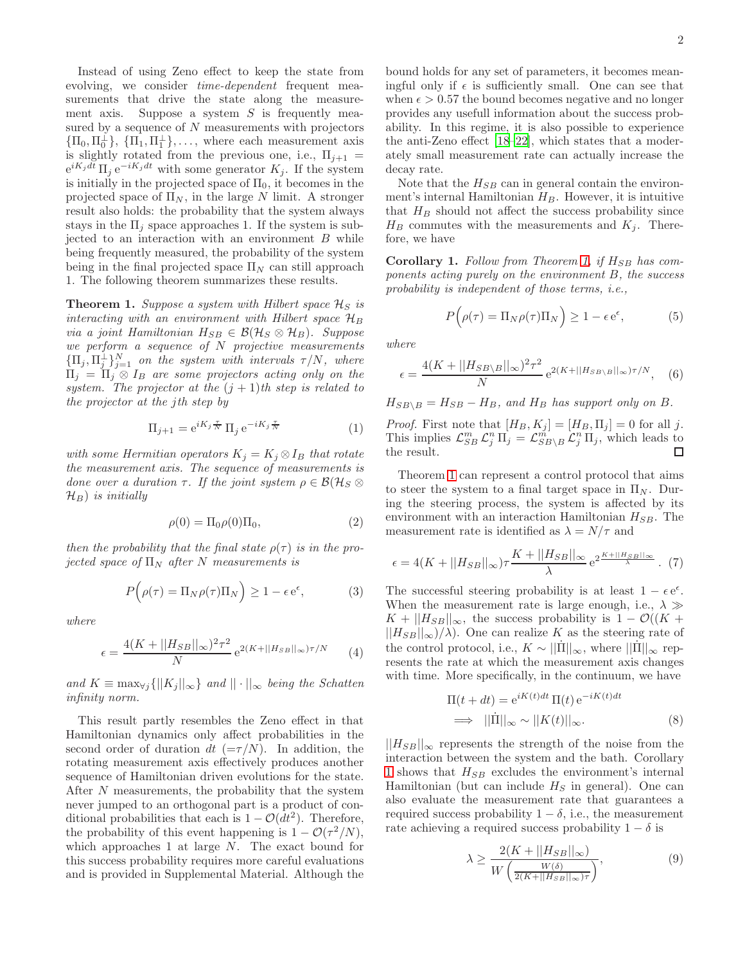Instead of using Zeno effect to keep the state from evolving, we consider time-dependent frequent measurements that drive the state along the measurement axis. Suppose a system  $S$  is frequently measured by a sequence of  $N$  measurements with projectors  ${\{\Pi_0, \Pi_0^{\perp}\}, \{\Pi_1, \Pi_1^{\perp}\}, \ldots, \text{ where each measurement axis}}$ is slightly rotated from the previous one, i.e.,  $\Pi_{i+1} =$  $e^{iK_jdt} \prod_j e^{-iK_jdt}$  with some generator  $K_j$ . If the system is initially in the projected space of  $\Pi_0$ , it becomes in the projected space of  $\Pi_N$ , in the large N limit. A stronger result also holds: the probability that the system always stays in the  $\Pi_i$  space approaches 1. If the system is subjected to an interaction with an environment  $B$  while being frequently measured, the probability of the system being in the final projected space  $\Pi_N$  can still approach 1. The following theorem summarizes these results.

<span id="page-1-0"></span>**Theorem 1.** Suppose a system with Hilbert space  $\mathcal{H}_S$  is interacting with an environment with Hilbert space  $\mathcal{H}_B$ via a joint Hamiltonian  $H_{SB} \in \mathcal{B}(\mathcal{H}_S \otimes \mathcal{H}_B)$ . Suppose we perform a sequence of N projective measurements  ${\{\Pi_j, \Pi_j^{\perp}\}}_{j=1}^N$  on the system with intervals  $\tau/N$ , where  $\Pi_j = \Pi_j \otimes I_B$  are some projectors acting only on the system. The projector at the  $(j + 1)$ th step is related to the projector at the jth step by

$$
\Pi_{j+1} = e^{iK_j \frac{\tau}{N}} \Pi_j e^{-iK_j \frac{\tau}{N}}
$$
\n(1)

with some Hermitian operators  $K_j = K_j \otimes I_B$  that rotate the measurement axis. The sequence of measurements is done over a duration  $\tau$ . If the joint system  $\rho \in \mathcal{B}(\mathcal{H}_S \otimes$  $\mathcal{H}_B$ ) is initially

$$
\rho(0) = \Pi_0 \rho(0) \Pi_0,\tag{2}
$$

then the probability that the final state  $\rho(\tau)$  is in the projected space of  $\Pi_N$  after N measurements is

$$
P(\rho(\tau) = \Pi_N \rho(\tau) \Pi_N) \ge 1 - \epsilon e^{\epsilon}, \tag{3}
$$

where

$$
\epsilon = \frac{4(K + ||H_{SB}||_{\infty})^2 \tau^2}{N} e^{2(K + ||H_{SB}||_{\infty})\tau/N} \tag{4}
$$

and  $K \equiv \max_{\forall j} \{||K_j||_{\infty}\}\$ and  $||\cdot||_{\infty}$  being the Schatten infinity norm.

This result partly resembles the Zeno effect in that Hamiltonian dynamics only affect probabilities in the second order of duration dt  $(=\tau/N)$ . In addition, the rotating measurement axis effectively produces another sequence of Hamiltonian driven evolutions for the state. After N measurements, the probability that the system never jumped to an orthogonal part is a product of conditional probabilities that each is  $1 - \mathcal{O}(dt^2)$ . Therefore, the probability of this event happening is  $1 - \mathcal{O}(\tau^2/N)$ , which approaches 1 at large N. The exact bound for this success probability requires more careful evaluations and is provided in Supplemental Material. Although the

bound holds for any set of parameters, it becomes meaningful only if  $\epsilon$  is sufficiently small. One can see that when  $\epsilon > 0.57$  the bound becomes negative and no longer provides any usefull information about the success probability. In this regime, it is also possible to experience the anti-Zeno effect [\[18](#page-4-12)[–22\]](#page-4-13), which states that a moderately small measurement rate can actually increase the decay rate.

Note that the  $H_{SB}$  can in general contain the environment's internal Hamiltonian  $H_B$ . However, it is intuitive that  $H_B$  should not affect the success probability since  $H_B$  commutes with the measurements and  $K_j$ . Therefore, we have

<span id="page-1-1"></span>Corollary 1. Follow from Theorem [1,](#page-1-0) if  $H_{SB}$  has components acting purely on the environment B, the success probability is independent of those terms, i.e.,

$$
P(\rho(\tau) = \Pi_N \rho(\tau) \Pi_N) \ge 1 - \epsilon e^{\epsilon}, \tag{5}
$$

where

$$
\epsilon = \frac{4(K + ||H_{SB\setminus B}||_{\infty})^2 \tau^2}{N} e^{2(K + ||H_{SB\setminus B}||_{\infty})\tau/N}, \quad (6)
$$

 $H_{SB\setminus B} = H_{SB} - H_B$ , and  $H_B$  has support only on B.

*Proof.* First note that  $[H_B, K_j] = [H_B, \Pi_j] = 0$  for all j. This implies  $\mathcal{L}_{SB}^m \mathcal{L}_j^n \Pi_j = \mathcal{L}_{SB\setminus B}^m \mathcal{L}_j^n \Pi_j$ , which leads to the result. □

Theorem [1](#page-1-0) can represent a control protocol that aims to steer the system to a final target space in  $\Pi_N$ . During the steering process, the system is affected by its environment with an interaction Hamiltonian  $H_{SB}$ . The measurement rate is identified as  $\lambda = N/\tau$  and

$$
\epsilon = 4(K + ||H_{SB}||_{\infty})\tau \frac{K + ||H_{SB}||_{\infty}}{\lambda} e^{2\frac{K + ||H_{SB}||_{\infty}}{\lambda}}.
$$
 (7)

The successful steering probability is at least  $1 - \epsilon e^{\epsilon}$ . When the measurement rate is large enough, i.e.,  $\lambda \gg$  $K + ||H_{SB}||_{\infty}$ , the success probability is  $1 - \mathcal{O}((K +$  $||H_{SB}||_{\infty}$ / $\lambda$ ). One can realize K as the steering rate of the control protocol, i.e.,  $K \sim ||\dot{\Pi}||_{\infty}$ , where  $||\dot{\Pi}||_{\infty}$  represents the rate at which the measurement axis changes with time. More specifically, in the continuum, we have

$$
\Pi(t + dt) = e^{iK(t)dt} \Pi(t) e^{-iK(t)dt}
$$
  
\n
$$
\implies ||\dot{\Pi}||_{\infty} \sim ||K(t)||_{\infty}.
$$
 (8)

 $||H_{SB}||_{\infty}$  represents the strength of the noise from the interaction between the system and the bath. Corollary [1](#page-1-1) shows that  $H_{SB}$  excludes the environment's internal Hamiltonian (but can include  $H<sub>S</sub>$  in general). One can also evaluate the measurement rate that guarantees a required success probability  $1 - \delta$ , i.e., the measurement rate achieving a required success probability  $1 - \delta$  is

$$
\lambda \ge \frac{2(K + ||H_{SB}||_{\infty})}{W\left(\frac{W(\delta)}{2(K + ||H_{SB}||_{\infty})\tau}\right)},\tag{9}
$$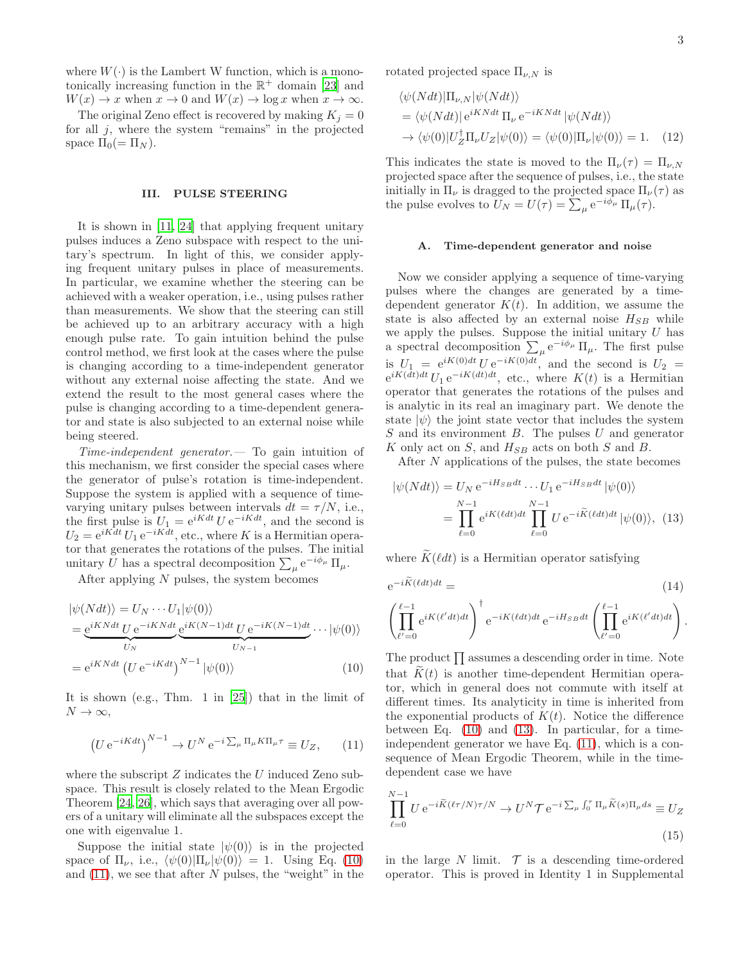where  $W(\cdot)$  is the Lambert W function, which is a monotonically increasing function in the  $\mathbb{R}^+$  domain [\[23\]](#page-4-14) and  $W(x) \to x$  when  $x \to 0$  and  $W(x) \to \log x$  when  $x \to \infty$ .

The original Zeno effect is recovered by making  $K_i = 0$ for all  $j$ , where the system "remains" in the projected space  $\Pi_0(=\Pi_N)$ .

### III. PULSE STEERING

It is shown in [\[11](#page-4-6), [24\]](#page-5-0) that applying frequent unitary pulses induces a Zeno subspace with respect to the unitary's spectrum. In light of this, we consider applying frequent unitary pulses in place of measurements. In particular, we examine whether the steering can be achieved with a weaker operation, i.e., using pulses rather than measurements. We show that the steering can still be achieved up to an arbitrary accuracy with a high enough pulse rate. To gain intuition behind the pulse control method, we first look at the cases where the pulse is changing according to a time-independent generator without any external noise affecting the state. And we extend the result to the most general cases where the pulse is changing according to a time-dependent generator and state is also subjected to an external noise while being steered.

Time-independent generator.— To gain intuition of this mechanism, we first consider the special cases where the generator of pulse's rotation is time-independent. Suppose the system is applied with a sequence of timevarying unitary pulses between intervals  $dt = \tau/N$ , i.e., the first pulse is  $U_1 = e^{iKdt} U e^{-iKdt}$ , and the second is  $U_2 = e^{iKdt} U_1 e^{-iKdt}$ , etc., where K is a Hermitian operator that generates the rotations of the pulses. The initial unitary U has a spectral decomposition  $\sum_{\mu} e^{-i\phi_{\mu}} \Pi_{\mu}$ .

After applying N pulses, the system becomes

$$
|\psi(Ndt)\rangle = U_N \cdots U_1 |\psi(0)\rangle
$$
  
= 
$$
\underbrace{e^{iKNdt} U e^{-iKNdt}}_{U_N} \underbrace{e^{iK(N-1)dt} U e^{-iK(N-1)dt}}_{U_{N-1}} \cdots |\psi(0)\rangle
$$
  
= 
$$
e^{iKNdt} (U e^{-iKdt})^{N-1} |\psi(0)\rangle
$$
 (10)

It is shown (e.g., Thm. 1 in [\[25](#page-5-1)]) that in the limit of  $N \to \infty$ ,

<span id="page-2-1"></span>
$$
\left(U e^{-iKdt}\right)^{N-1} \to U^N e^{-i\sum_{\mu} \Pi_{\mu} K \Pi_{\mu} \tau} \equiv U_Z,\qquad(11)
$$

where the subscript  $Z$  indicates the  $U$  induced Zeno subspace. This result is closely related to the Mean Ergodic Theorem [\[24](#page-5-0), [26](#page-5-2)], which says that averaging over all powers of a unitary will eliminate all the subspaces except the one with eigenvalue 1.

Suppose the initial state  $|\psi(0)\rangle$  is in the projected space of  $\Pi_{\nu}$ , i.e.,  $\langle \psi(0)|\Pi_{\nu} |\psi(0)\rangle = 1$ . Using Eq. [\(10\)](#page-2-0) and  $(11)$ , we see that after N pulses, the "weight" in the

rotated projected space  $\Pi_{\nu,N}$  is

$$
\langle \psi(Ndt)|\Pi_{\nu,N}|\psi(Ndt)\rangle
$$
  
=\langle \psi(Ndt)|e^{iKNdt}\Pi\_{\nu}e^{-iKNdt}|\psi(Ndt)\rangle  
\rightarrow \langle \psi(0)|U\_Z^{\dagger}\Pi\_{\nu}U\_Z|\psi(0)\rangle = \langle \psi(0)|\Pi\_{\nu}|\psi(0)\rangle = 1. (12)

This indicates the state is moved to the  $\Pi_{\nu}(\tau) = \Pi_{\nu,N}$ projected space after the sequence of pulses, i.e., the state initially in  $\Pi_{\nu}$  is dragged to the projected space  $\Pi_{\nu}(\tau)$  as the pulse evolves to  $\widetilde{U}_N = U(\tau) = \sum_{\mu} e^{-i\vec{\phi}_{\mu}} \Pi_{\mu}(\tau)$ .

#### A. Time-dependent generator and noise

Now we consider applying a sequence of time-varying pulses where the changes are generated by a timedependent generator  $K(t)$ . In addition, we assume the state is also affected by an external noise  $H_{SB}$  while we apply the pulses. Suppose the initial unitary  $U$  has a spectral decomposition  $\sum_{\mu} e^{-i\phi_{\mu}} \Pi_{\mu}$ . The first pulse is  $U_1 = e^{iK(0)dt} U e^{-iK(0)dt}$ , and the second is  $U_2 =$  $e^{iK(dt)dt} U_1 e^{-iK(dt)dt}$ , etc., where  $K(t)$  is a Hermitian operator that generates the rotations of the pulses and is analytic in its real an imaginary part. We denote the state  $|\psi\rangle$  the joint state vector that includes the system  $S$  and its environment  $B$ . The pulses  $U$  and generator K only act on  $S$ , and  $H_{SB}$  acts on both  $S$  and  $B$ .

<span id="page-2-2"></span>After N applications of the pulses, the state becomes

$$
|\psi(Ndt)\rangle = U_N e^{-iH_{SB}dt} \cdots U_1 e^{-iH_{SB}dt} |\psi(0)\rangle
$$
  
= 
$$
\prod_{\ell=0}^{N-1} e^{iK(\ell dt)dt} \prod_{\ell=0}^{N-1} U e^{-i\widetilde{K}(\ell dt)dt} |\psi(0)\rangle, (13)
$$

where  $\widetilde{K}(\ell dt)$  is a Hermitian operator satisfying

$$
e^{-iK(\ell dt)dt} = (14)
$$
  

$$
\left(\prod_{\ell'=0}^{\ell-1} e^{iK(\ell' dt)dt}\right)^{\dagger} e^{-iK(\ell dt)dt} e^{-iH_{SB}dt} \left(\prod_{\ell'=0}^{\ell-1} e^{iK(\ell' dt)dt}\right).
$$

<span id="page-2-0"></span>The product  $\prod$  assumes a descending order in time. Note that  $K(t)$  is another time-dependent Hermitian operator, which in general does not commute with itself at different times. Its analyticity in time is inherited from the exponential products of  $K(t)$ . Notice the difference between Eq. [\(10\)](#page-2-0) and [\(13\)](#page-2-2). In particular, for a timeindependent generator we have Eq. [\(11\)](#page-2-1), which is a consequence of Mean Ergodic Theorem, while in the timedependent case we have

$$
\prod_{\ell=0}^{N-1} U e^{-i\widetilde{K}(\ell\tau/N)\tau/N} \to U^N \mathcal{T} e^{-i\sum_{\mu} \int_0^{\tau} \Pi_{\mu} \widetilde{K}(s)\Pi_{\mu} ds} \equiv U_Z
$$
\n(15)

in the large N limit.  $\mathcal T$  is a descending time-ordered operator. This is proved in Identity 1 in Supplemental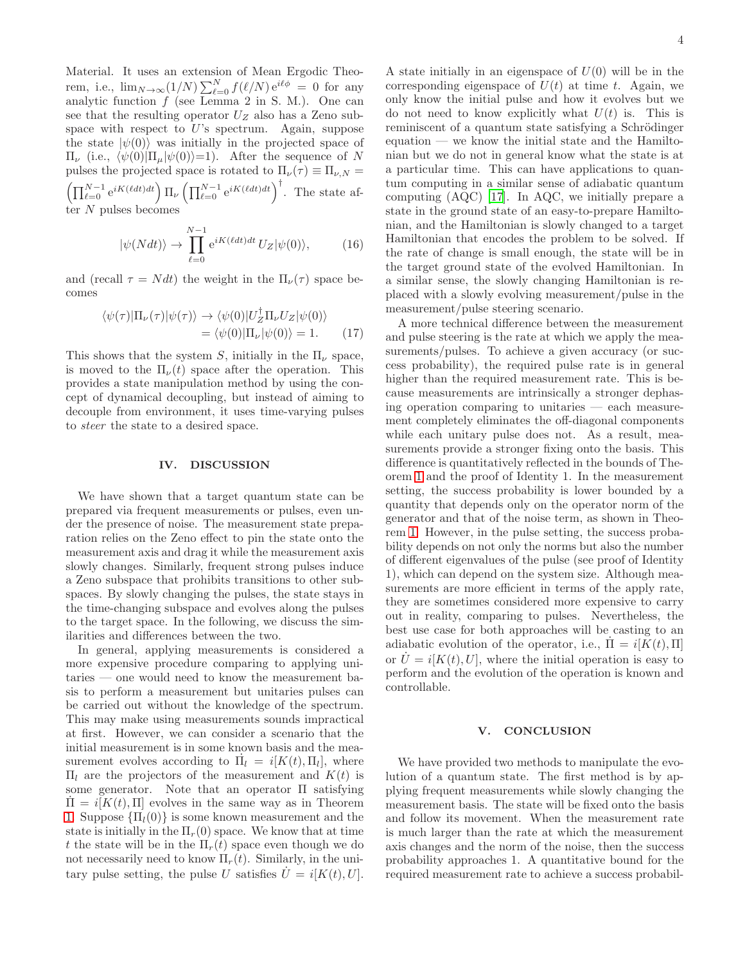Material. It uses an extension of Mean Ergodic Theorem, i.e.,  $\lim_{N\to\infty}(1/N)\sum_{\ell=0}^{N}f(\ell/N)e^{i\ell\phi} = 0$  for any analytic function  $f$  (see Lemma 2 in S. M.). One can see that the resulting operator  $U_Z$  also has a Zeno subspace with respect to  $U$ 's spectrum. Again, suppose the state  $|\psi(0)\rangle$  was initially in the projected space of  $\Pi_{\nu}$  (i.e.,  $\langle \psi(0)|\Pi_{\mu}|\psi(0)\rangle=1$ ). After the sequence of N pulses the projected space is rotated to  $\Pi_{\nu}(\tau) \equiv \Pi_{\nu,N} =$  $\left(\prod_{\ell=0}^{N-1} e^{iK(\ell dt)dt}\right) \prod_{\nu} \left(\prod_{\ell=0}^{N-1} e^{iK(\ell dt)dt}\right)^{\dagger}$ . The state after  $N$  pulses becomes

$$
|\psi(Ndt)\rangle \to \prod_{\ell=0}^{N-1} e^{iK(\ell dt)dt} U_Z |\psi(0)\rangle, \tag{16}
$$

and (recall  $\tau = N dt$ ) the weight in the  $\Pi_{\nu}(\tau)$  space becomes

$$
\langle \psi(\tau)|\Pi_{\nu}(\tau)|\psi(\tau)\rangle \to \langle \psi(0)|U_{Z}^{\dagger}\Pi_{\nu}U_{Z}|\psi(0)\rangle
$$
  
= 
$$
\langle \psi(0)|\Pi_{\nu}|\psi(0)\rangle = 1.
$$
 (17)

This shows that the system S, initially in the  $\Pi_{\nu}$  space, is moved to the  $\Pi_{\nu}(t)$  space after the operation. This provides a state manipulation method by using the concept of dynamical decoupling, but instead of aiming to decouple from environment, it uses time-varying pulses to steer the state to a desired space.

#### IV. DISCUSSION

We have shown that a target quantum state can be prepared via frequent measurements or pulses, even under the presence of noise. The measurement state preparation relies on the Zeno effect to pin the state onto the measurement axis and drag it while the measurement axis slowly changes. Similarly, frequent strong pulses induce a Zeno subspace that prohibits transitions to other subspaces. By slowly changing the pulses, the state stays in the time-changing subspace and evolves along the pulses to the target space. In the following, we discuss the similarities and differences between the two.

In general, applying measurements is considered a more expensive procedure comparing to applying unitaries — one would need to know the measurement basis to perform a measurement but unitaries pulses can be carried out without the knowledge of the spectrum. This may make using measurements sounds impractical at first. However, we can consider a scenario that the initial measurement is in some known basis and the measurement evolves according to  $\overline{\Pi}_l = i[K(t), \Pi_l]$ , where  $\Pi$ <sub>l</sub> are the projectors of the measurement and  $K(t)$  is some generator. Note that an operator Π satisfying  $\Pi = i[K(t), \Pi]$  evolves in the same way as in Theorem [1.](#page-1-0) Suppose  ${\Pi_l(0)}$  is some known measurement and the state is initially in the  $\Pi_r(0)$  space. We know that at time t the state will be in the  $\Pi_r(t)$  space even though we do not necessarily need to know  $\Pi_r(t)$ . Similarly, in the unitary pulse setting, the pulse U satisfies  $U = i[K(t), U]$ .

A state initially in an eigenspace of  $U(0)$  will be in the corresponding eigenspace of  $U(t)$  at time t. Again, we only know the initial pulse and how it evolves but we do not need to know explicitly what  $U(t)$  is. This is reminiscent of a quantum state satisfying a Schrödinger equation — we know the initial state and the Hamiltonian but we do not in general know what the state is at a particular time. This can have applications to quantum computing in a similar sense of adiabatic quantum computing (AQC) [\[17\]](#page-4-11). In AQC, we initially prepare a state in the ground state of an easy-to-prepare Hamiltonian, and the Hamiltonian is slowly changed to a target Hamiltonian that encodes the problem to be solved. If the rate of change is small enough, the state will be in the target ground state of the evolved Hamiltonian. In a similar sense, the slowly changing Hamiltonian is replaced with a slowly evolving measurement/pulse in the measurement/pulse steering scenario.

A more technical difference between the measurement and pulse steering is the rate at which we apply the measurements/pulses. To achieve a given accuracy (or success probability), the required pulse rate is in general higher than the required measurement rate. This is because measurements are intrinsically a stronger dephasing operation comparing to unitaries — each measurement completely eliminates the off-diagonal components while each unitary pulse does not. As a result, measurements provide a stronger fixing onto the basis. This difference is quantitatively reflected in the bounds of Theorem [1](#page-1-0) and the proof of Identity 1. In the measurement setting, the success probability is lower bounded by a quantity that depends only on the operator norm of the generator and that of the noise term, as shown in Theorem [1.](#page-1-0) However, in the pulse setting, the success probability depends on not only the norms but also the number of different eigenvalues of the pulse (see proof of Identity 1), which can depend on the system size. Although measurements are more efficient in terms of the apply rate, they are sometimes considered more expensive to carry out in reality, comparing to pulses. Nevertheless, the best use case for both approaches will be casting to an adiabatic evolution of the operator, i.e.,  $\Pi = i[K(t), \Pi]$ or  $U = i[K(t), U]$ , where the initial operation is easy to perform and the evolution of the operation is known and controllable.

## V. CONCLUSION

We have provided two methods to manipulate the evolution of a quantum state. The first method is by applying frequent measurements while slowly changing the measurement basis. The state will be fixed onto the basis and follow its movement. When the measurement rate is much larger than the rate at which the measurement axis changes and the norm of the noise, then the success probability approaches 1. A quantitative bound for the required measurement rate to achieve a success probabil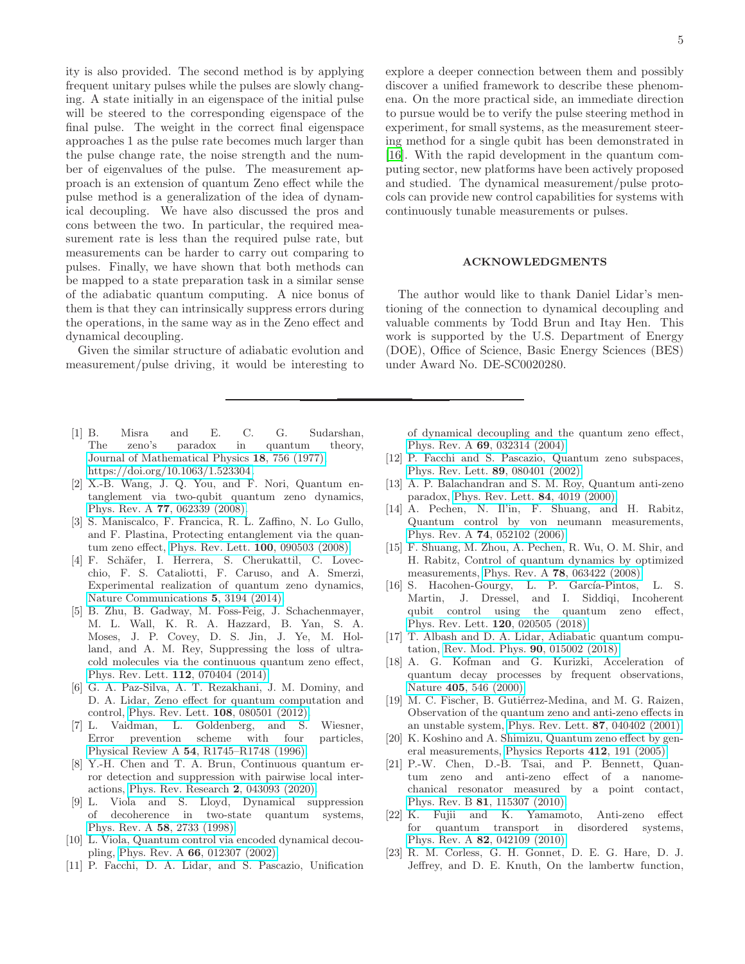ity is also provided. The second method is by applying frequent unitary pulses while the pulses are slowly changing. A state initially in an eigenspace of the initial pulse will be steered to the corresponding eigenspace of the final pulse. The weight in the correct final eigenspace approaches 1 as the pulse rate becomes much larger than the pulse change rate, the noise strength and the number of eigenvalues of the pulse. The measurement approach is an extension of quantum Zeno effect while the pulse method is a generalization of the idea of dynamical decoupling. We have also discussed the pros and cons between the two. In particular, the required measurement rate is less than the required pulse rate, but measurements can be harder to carry out comparing to pulses. Finally, we have shown that both methods can be mapped to a state preparation task in a similar sense of the adiabatic quantum computing. A nice bonus of them is that they can intrinsically suppress errors during the operations, in the same way as in the Zeno effect and dynamical decoupling.

Given the similar structure of adiabatic evolution and measurement/pulse driving, it would be interesting to

- <span id="page-4-0"></span>[1] B. Misra and E. C. G. Sudarshan, The zeno's paradox in quantum theory, [Journal of Mathematical Physics](https://doi.org/10.1063/1.523304) 18, 756 (1977), [https://doi.org/10.1063/1.523304.](https://arxiv.org/abs/https://doi.org/10.1063/1.523304)
- [2] X.-B. Wang, J. Q. You, and F. Nori, Quantum entanglement via two-qubit quantum zeno dynamics, Phys. Rev. A 77[, 062339 \(2008\).](https://doi.org/10.1103/PhysRevA.77.062339)
- [3] S. Maniscalco, F. Francica, R. L. Zaffino, N. Lo Gullo, and F. Plastina, Protecting entanglement via the quantum zeno effect, [Phys. Rev. Lett.](https://doi.org/10.1103/PhysRevLett.100.090503) 100, 090503 (2008).
- [4] F. Schäfer, I. Herrera, S. Cherukattil, C. Lovecchio, F. S. Cataliotti, F. Caruso, and A. Smerzi, Experimental realization of quantum zeno dynamics, [Nature Communications](https://doi.org/10.1038/ncomms4194) 5, 3194 (2014).
- <span id="page-4-1"></span>[5] B. Zhu, B. Gadway, M. Foss-Feig, J. Schachenmayer, M. L. Wall, K. R. A. Hazzard, B. Yan, S. A. Moses, J. P. Covey, D. S. Jin, J. Ye, M. Holland, and A. M. Rey, Suppressing the loss of ultracold molecules via the continuous quantum zeno effect, [Phys. Rev. Lett.](https://doi.org/10.1103/PhysRevLett.112.070404) 112, 070404 (2014).
- <span id="page-4-2"></span>[6] G. A. Paz-Silva, A. T. Rezakhani, J. M. Dominy, and D. A. Lidar, Zeno effect for quantum computation and control, [Phys. Rev. Lett.](https://doi.org/10.1103/PhysRevLett.108.080501) 108, 080501 (2012).
- [7] L. Vaidman, L. Goldenberg, and S. Wiesner, Error prevention scheme with four particles, Physical Review A 54[, R1745–R1748 \(1996\).](https://doi.org/10.1103/physreva.54.r1745)
- <span id="page-4-3"></span>[8] Y.-H. Chen and T. A. Brun, Continuous quantum error detection and suppression with pairwise local interactions, [Phys. Rev. Research](https://doi.org/10.1103/PhysRevResearch.2.043093) 2, 043093 (2020).
- <span id="page-4-4"></span>[9] L. Viola and S. Lloyd, Dynamical suppression of decoherence in two-state quantum systems, [Phys. Rev. A](https://doi.org/10.1103/PhysRevA.58.2733) 58, 2733 (1998).
- <span id="page-4-5"></span>[10] L. Viola, Quantum control via encoded dynamical decou-pling, Phys. Rev. A 66[, 012307 \(2002\).](https://doi.org/10.1103/PhysRevA.66.012307)
- <span id="page-4-6"></span>[11] P. Facchi, D. A. Lidar, and S. Pascazio, Unification

explore a deeper connection between them and possibly discover a unified framework to describe these phenomena. On the more practical side, an immediate direction to pursue would be to verify the pulse steering method in experiment, for small systems, as the measurement steering method for a single qubit has been demonstrated in [\[16\]](#page-4-8). With the rapid development in the quantum computing sector, new platforms have been actively proposed and studied. The dynamical measurement/pulse protocols can provide new control capabilities for systems with continuously tunable measurements or pulses.

### ACKNOWLEDGMENTS

The author would like to thank Daniel Lidar's mentioning of the connection to dynamical decoupling and valuable comments by Todd Brun and Itay Hen. This work is supported by the U.S. Department of Energy (DOE), Office of Science, Basic Energy Sciences (BES) under Award No. DE-SC0020280.

of dynamical decoupling and the quantum zeno effect, Phys. Rev. A 69[, 032314 \(2004\).](https://doi.org/10.1103/PhysRevA.69.032314)

- <span id="page-4-7"></span>[12] P. Facchi and S. Pascazio, Quantum zeno subspaces, [Phys. Rev. Lett.](https://doi.org/10.1103/PhysRevLett.89.080401) 89, 080401 (2002).
- <span id="page-4-9"></span>[13] A. P. Balachandran and S. M. Roy, Quantum anti-zeno paradox, [Phys. Rev. Lett.](https://doi.org/10.1103/PhysRevLett.84.4019) 84, 4019 (2000).
- [14] A. Pechen, N. Il'in, F. Shuang, and H. Rabitz, Quantum control by von neumann measurements, Phys. Rev. A 74[, 052102 \(2006\).](https://doi.org/10.1103/PhysRevA.74.052102)
- <span id="page-4-10"></span>[15] F. Shuang, M. Zhou, A. Pechen, R. Wu, O. M. Shir, and H. Rabitz, Control of quantum dynamics by optimized measurements, Phys. Rev. A 78[, 063422 \(2008\).](https://doi.org/10.1103/PhysRevA.78.063422)
- <span id="page-4-8"></span>[16] S. Hacohen-Gourgy, L. P. García-Pintos, L. S. Martin, J. Dressel, and I. Siddiqi, Incoherent qubit control using the quantum zeno effect, [Phys. Rev. Lett.](https://doi.org/10.1103/PhysRevLett.120.020505) 120, 020505 (2018).
- <span id="page-4-11"></span>[17] T. Albash and D. A. Lidar, Adiabatic quantum computation, [Rev. Mod. Phys.](https://doi.org/10.1103/RevModPhys.90.015002) 90, 015002 (2018).
- <span id="page-4-12"></span>[18] A. G. Kofman and G. Kurizki, Acceleration of quantum decay processes by frequent observations, Nature 405[, 546 \(2000\).](https://doi.org/10.1038/35014537)
- [19] M. C. Fischer, B. Gutiérrez-Medina, and M. G. Raizen, Observation of the quantum zeno and anti-zeno effects in an unstable system, [Phys. Rev. Lett.](https://doi.org/10.1103/PhysRevLett.87.040402) 87, 040402 (2001).
- [20] K. Koshino and A. Shimizu, Quantum zeno effect by general measurements, [Physics Reports](https://doi.org/https://doi.org/10.1016/j.physrep.2005.03.001) 412, 191 (2005).
- [21] P.-W. Chen, D.-B. Tsai, and P. Bennett, Quantum zeno and anti-zeno effect of a nanomechanical resonator measured by a point contact, Phys. Rev. B 81[, 115307 \(2010\).](https://doi.org/10.1103/PhysRevB.81.115307)
- <span id="page-4-13"></span>[22] K. Fujii and K. Yamamoto, Anti-zeno effect for quantum transport in disordered systems, Phys. Rev. A 82[, 042109 \(2010\).](https://doi.org/10.1103/PhysRevA.82.042109)
- <span id="page-4-14"></span>[23] R. M. Corless, G. H. Gonnet, D. E. G. Hare, D. J. Jeffrey, and D. E. Knuth, On the lambertw function,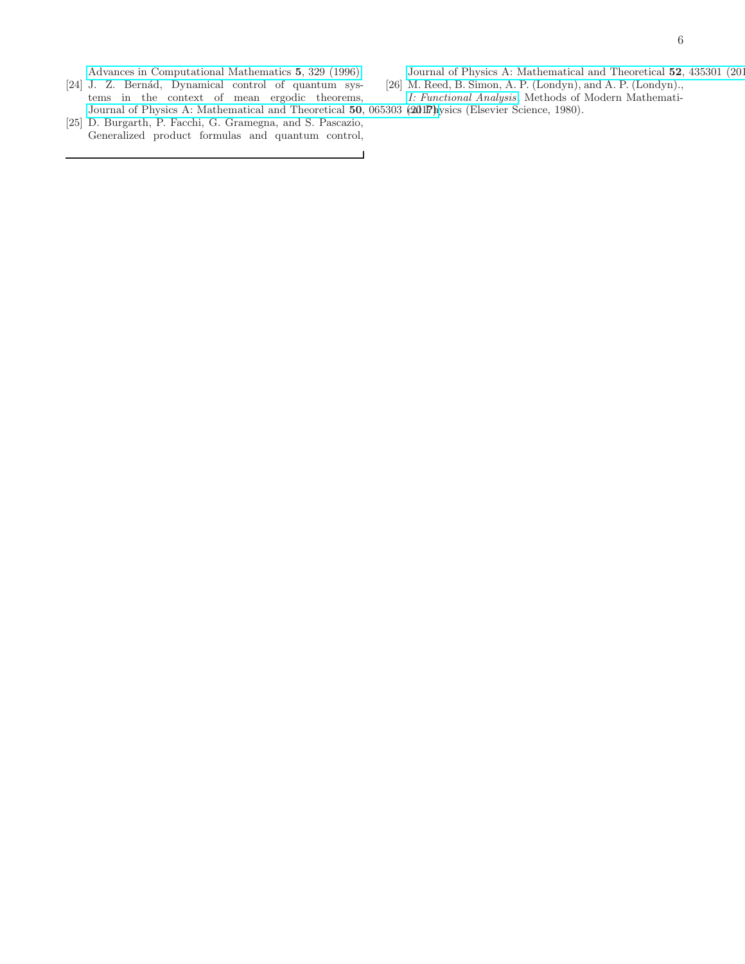[Advances in Computational Mathematics](https://doi.org/10.1007/BF02124750) 5, 329 (1996).

- <span id="page-5-0"></span>[24] J. Z. Bernád, Dynamical control of quantum systems in the context of mean ergodic theorems, [Journal of Physics A: Mathematical and Theoretical](https://doi.org/10.1088/1751-8121/aa5576) 50, 065303 (2017). [Elsevier Science, 1980].
- <span id="page-5-1"></span>[25] D. Burgarth, P. Facchi, G. Gramegna, and S. Pascazio, Generalized product formulas and quantum control,

[Journal of Physics A: Mathematical and Theoretical](https://doi.org/10.1088/1751-8121/ab4403) 52, 435301 (2019).

- <span id="page-5-2"></span>[26] M. Reed, B. Simon, A. P. (Londyn), and A. P. (Londyn).,
- [I: Functional Analysis](https://books.google.com/books?id=bvuRuwuFBWwC), Methods of Modern Mathemati-
-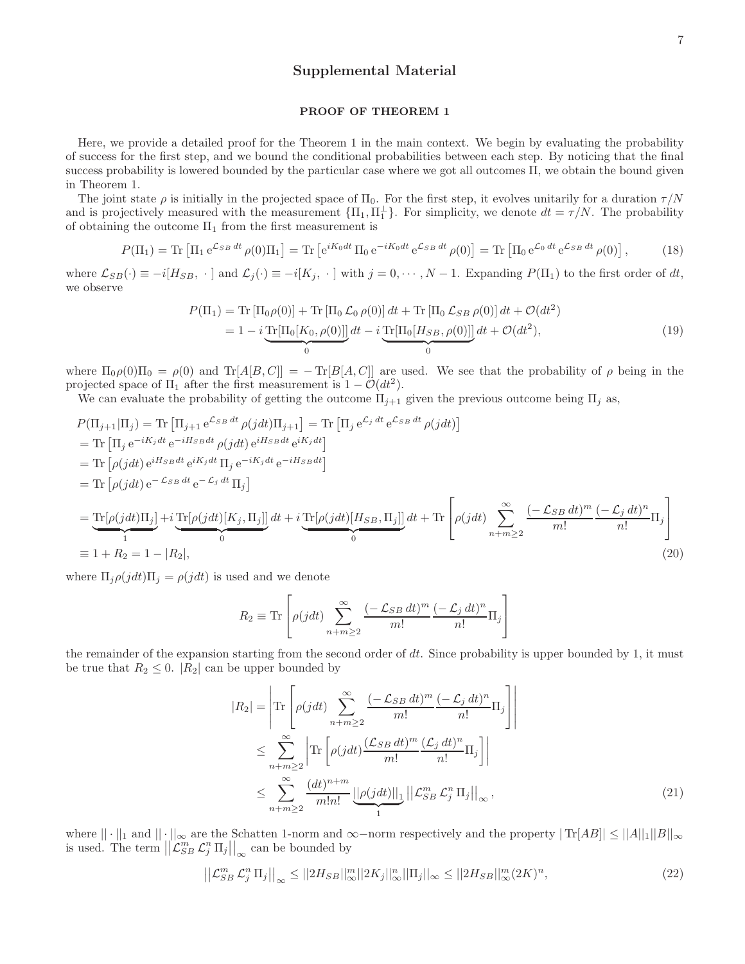# Supplemental Material

### PROOF OF THEOREM 1

Here, we provide a detailed proof for the Theorem 1 in the main context. We begin by evaluating the probability of success for the first step, and we bound the conditional probabilities between each step. By noticing that the final success probability is lowered bounded by the particular case where we got all outcomes Π, we obtain the bound given in Theorem 1.

The joint state  $\rho$  is initially in the projected space of  $\Pi_0$ . For the first step, it evolves unitarily for a duration  $\tau/N$ and is projectively measured with the measurement  ${\Pi_1, \Pi_1^{\perp}}$ . For simplicity, we denote  $dt = \tau/N$ . The probability of obtaining the outcome  $\Pi_1$  from the first measurement is

$$
P(\Pi_1) = \text{Tr} \left[ \Pi_1 e^{\mathcal{L}_{SB} dt} \rho(0) \Pi_1 \right] = \text{Tr} \left[ e^{iK_0 dt} \Pi_0 e^{-iK_0 dt} e^{\mathcal{L}_{SB} dt} \rho(0) \right] = \text{Tr} \left[ \Pi_0 e^{\mathcal{L}_0 dt} e^{\mathcal{L}_{SB} dt} \rho(0) \right],\tag{18}
$$

where  $\mathcal{L}_{SB}(\cdot) \equiv -i[H_{SB}, \cdot]$  and  $\mathcal{L}_j(\cdot) \equiv -i[K_j, \cdot]$  with  $j = 0, \dots, N-1$ . Expanding  $P(\Pi_1)$  to the first order of dt, we observe

$$
P(\Pi_1) = \text{Tr} [\Pi_0 \rho(0)] + \text{Tr} [\Pi_0 \mathcal{L}_0 \rho(0)] dt + \text{Tr} [\Pi_0 \mathcal{L}_{SB} \rho(0)] dt + \mathcal{O}(dt^2)
$$
  
=  $1 - i \underbrace{\text{Tr}[\Pi_0[K_0, \rho(0)]]}_{0} dt - i \underbrace{\text{Tr}[\Pi_0[H_{SB}, \rho(0)]]}_{0} dt + \mathcal{O}(dt^2),$  (19)

where  $\Pi_0 \rho(0) \Pi_0 = \rho(0)$  and  $Tr[A[B, C]] = Tr[B[A, C]]$  are used. We see that the probability of  $\rho$  being in the projected space of  $\Pi_1$  after the first measurement is  $1 - \mathcal{O}(dt^2)$ .

We can evaluate the probability of getting the outcome  $\Pi_{j+1}$  given the previous outcome being  $\Pi_j$  as,

$$
P(\Pi_{j+1}|\Pi_j) = \text{Tr} [\Pi_{j+1} e^{C_{SB} dt} \rho(jdt) \Pi_{j+1}] = \text{Tr} [\Pi_j e^{C_j dt} e^{C_{SB} dt} \rho(jdt)]
$$
  
\n
$$
= \text{Tr} [\Pi_j e^{-iK_j dt} e^{-iH_{SB} dt} \rho(jdt) e^{iH_{SB} dt} e^{iK_j dt}]
$$
  
\n
$$
= \text{Tr} [\rho(jdt) e^{iH_{SB} dt} e^{iK_j dt} \Pi_j e^{-iK_j dt} e^{-iH_{SB} dt}]
$$
  
\n
$$
= \text{Tr} [\rho(jdt) \Pi_j] + i \text{Tr} [\rho(jdt) [K_j, \Pi_j]] dt + i \text{Tr} [\rho(jdt) [H_{SB}, \Pi_j]] dt + \text{Tr} [\rho(jdt) \sum_{n+m\geq 2}^{\infty} \frac{(-\mathcal{L}_{SB} dt)^m (-\mathcal{L}_j dt)^n}{m!} \Pi_j]
$$
  
\n
$$
\equiv 1 + R_2 = 1 - |R_2|,
$$
\n(20)

where  $\Pi_i \rho(jdt) \Pi_j = \rho(jdt)$  is used and we denote

$$
R_2 \equiv \text{Tr}\left[\rho(jdt) \sum_{n+m\geq 2}^{\infty} \frac{(-\mathcal{L}_{SB} dt)^m}{m!} \frac{(-\mathcal{L}_j dt)^n}{n!} \Pi_j\right]
$$

the remainder of the expansion starting from the second order of  $dt$ . Since probability is upper bounded by 1, it must be true that  $R_2 \leq 0$ .  $|R_2|$  can be upper bounded by

$$
|R_2| = \left| \text{Tr} \left[ \rho(jdt) \sum_{n+m\geq 2}^{\infty} \frac{(-\mathcal{L}_{SB} dt)^m}{m!} \frac{(-\mathcal{L}_j dt)^n}{n!} \Pi_j \right] \right|
$$
  

$$
\leq \sum_{n+m\geq 2}^{\infty} \left| \text{Tr} \left[ \rho(jdt) \frac{(\mathcal{L}_{SB} dt)^m}{m!} \frac{(\mathcal{L}_j dt)^n}{n!} \Pi_j \right] \right|
$$
  

$$
\leq \sum_{n+m\geq 2}^{\infty} \frac{(dt)^{n+m}}{m!n!} \underbrace{||\rho(jdt)||_1}_{1} ||\mathcal{L}_{SB}^m \mathcal{L}_j^n \Pi_j||_{\infty},
$$
 (21)

where  $\|\cdot\|_1$  and  $\|\cdot\|_{\infty}$  are the Schatten 1-norm and  $\infty$ -norm respectively and the property  $|\text{Tr}[AB]|\leq ||A||_1||B||_{\infty}$ is used. The term  $\left\|\mathcal{L}_{SB}^m \mathcal{L}_{j}^n \Pi_j\right\|_{\infty}$  can be bounded by

$$
\left| \left| \mathcal{L}_{SB}^{m} \mathcal{L}_{j}^{n} \Pi_{j} \right| \right|_{\infty} \leq \left| \left| 2H_{SB} \right| \right|_{\infty}^{m} \left| \left| 2K_{j} \right| \right|_{\infty}^{n} \left| \left| \Pi_{j} \right| \right|_{\infty} \leq \left| \left| 2H_{SB} \right| \right|_{\infty}^{m} \left( 2K \right)^{n}, \tag{22}
$$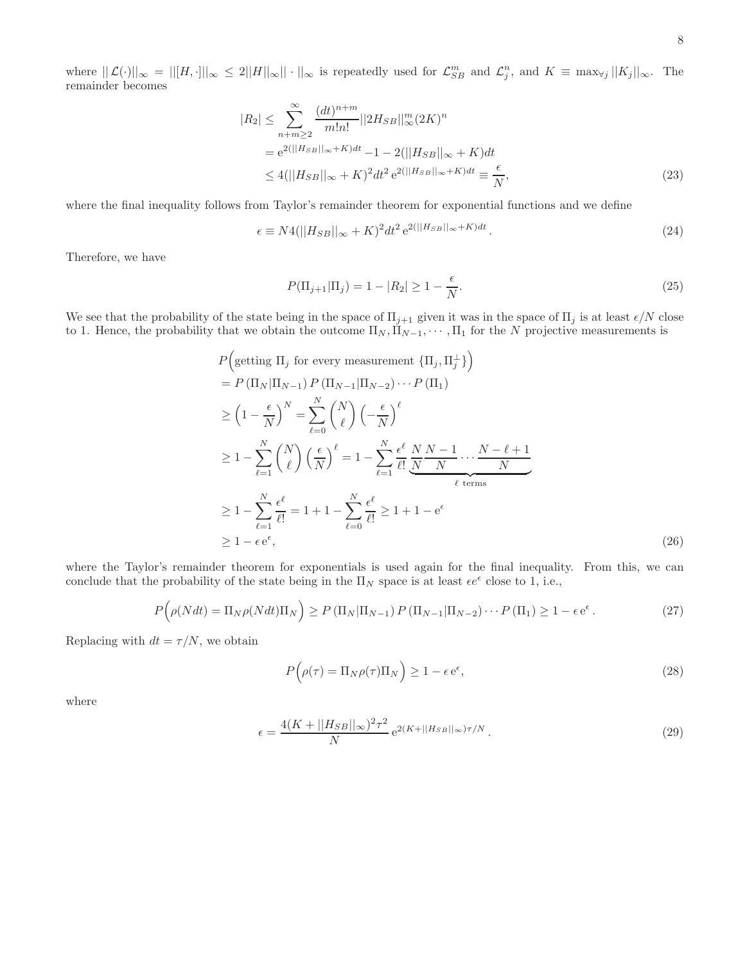where  $||\mathcal{L}(\cdot)||_{\infty} = ||[H, \cdot]||_{\infty} \leq 2||H||_{\infty}|| \cdot ||_{\infty}$  is repeatedly used for  $\mathcal{L}_{SB}^m$  and  $\mathcal{L}_j^n$ , and  $K \equiv \max_{\forall j} ||K_j||_{\infty}$ . The remainder becomes

$$
|R_2| \le \sum_{n+m\ge 2}^{\infty} \frac{(dt)^{n+m}}{m!n!} ||2H_{SB}||_{\infty}^m (2K)^n
$$
  
=  $e^{2(||H_{SB}||_{\infty} + K)dt} - 1 - 2(||H_{SB}||_{\infty} + K)dt$   

$$
\le 4(||H_{SB}||_{\infty} + K)^2 dt^2 e^{2(||H_{SB}||_{\infty} + K)dt} \equiv \frac{\epsilon}{N},
$$
 (23)

where the final inequality follows from Taylor's remainder theorem for exponential functions and we define

$$
\epsilon \equiv N4(||H_{SB}||_{\infty} + K)^2 dt^2 e^{2(||H_{SB}||_{\infty} + K)dt}.
$$
\n(24)

 $\overline{\phantom{0}}$ 

Therefore, we have

$$
P(\Pi_{j+1}|\Pi_j) = 1 - |R_2| \ge 1 - \frac{\epsilon}{N}.
$$
\n(25)

We see that the probability of the state being in the space of  $\Pi_{j+1}$  given it was in the space of  $\Pi_j$  is at least  $\epsilon/N$  close to 1. Hence, the probability that we obtain the outcome  $\Pi_N, \Pi_{N-1}, \cdots, \Pi_1$  for the N projective measurements is

$$
P\left(\text{getting } \Pi_j \text{ for every measurement } \{\Pi_j, \Pi_j^{\perp}\}\right)
$$
\n
$$
= P\left(\Pi_N|\Pi_{N-1}\right)P\left(\Pi_{N-1}|\Pi_{N-2}\right)\cdots P\left(\Pi_1\right)
$$
\n
$$
\geq \left(1 - \frac{\epsilon}{N}\right)^N = \sum_{\ell=0}^N {N \choose \ell} \left(-\frac{\epsilon}{N}\right)^{\ell}
$$
\n
$$
\geq 1 - \sum_{\ell=1}^N {N \choose \ell} \left(\frac{\epsilon}{N}\right)^{\ell} = 1 - \sum_{\ell=1}^N \frac{\epsilon^{\ell}}{\ell!} \underbrace{N N - 1}_{N} \cdots \underbrace{N - \ell + 1}_{N}
$$
\n
$$
\geq 1 - \sum_{\ell=1}^N \frac{\epsilon^{\ell}}{\ell!} = 1 + 1 - \sum_{\ell=0}^N \frac{\epsilon^{\ell}}{\ell!} \geq 1 + 1 - e^{\epsilon}
$$
\n
$$
\geq 1 - \epsilon e^{\epsilon}, \tag{26}
$$

where the Taylor's remainder theorem for exponentials is used again for the final inequality. From this, we can conclude that the probability of the state being in the  $\Pi_N$  space is at least  $\epsilon e^{\epsilon}$  close to 1, i.e.,

$$
P\left(\rho(Ndt) = \Pi_N \rho(Ndt) \Pi_N\right) \ge P\left(\Pi_N|\Pi_{N-1}\right) P\left(\Pi_{N-1}|\Pi_{N-2}\right) \cdots P\left(\Pi_1\right) \ge 1 - \epsilon e^{\epsilon}.
$$
\n(27)

Replacing with  $dt = \tau/N$ , we obtain

 $\overline{ }$ 

$$
P(\rho(\tau) = \Pi_N \rho(\tau) \Pi_N) \ge 1 - \epsilon e^{\epsilon}, \tag{28}
$$

where

$$
\epsilon = \frac{4(K + ||H_{SB}||_{\infty})^2 \tau^2}{N} e^{2(K + ||H_{SB}||_{\infty})\tau/N}.
$$
\n(29)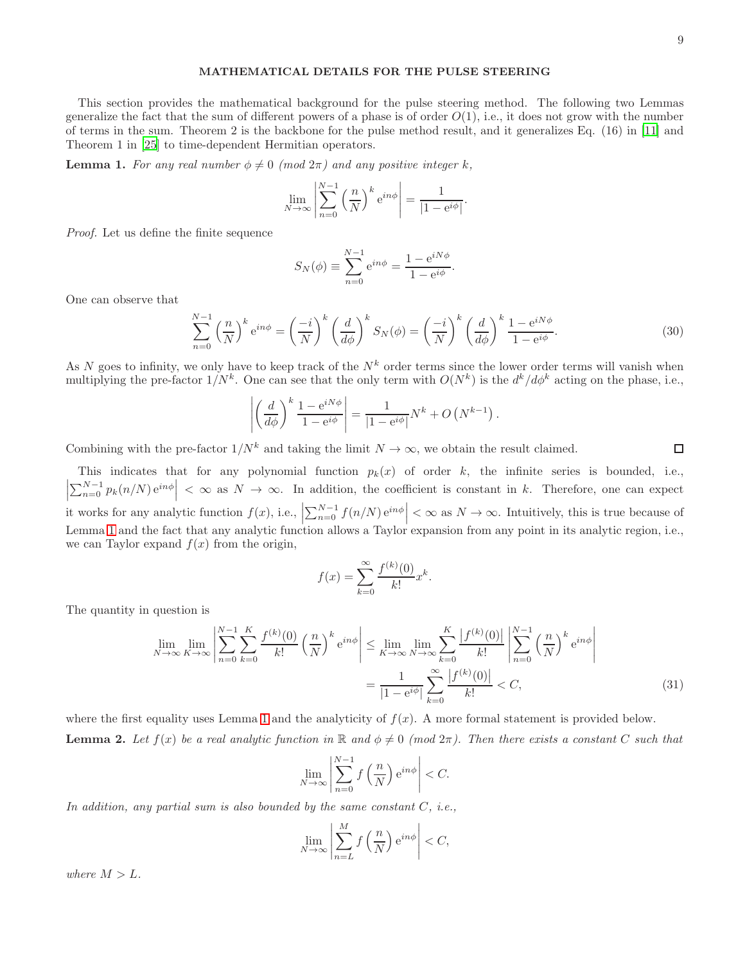## MATHEMATICAL DETAILS FOR THE PULSE STEERING

This section provides the mathematical background for the pulse steering method. The following two Lemmas generalize the fact that the sum of different powers of a phase is of order  $O(1)$ , i.e., it does not grow with the number of terms in the sum. Theorem 2 is the backbone for the pulse method result, and it generalizes Eq. (16) in [\[11\]](#page-4-6) and Theorem 1 in [\[25\]](#page-5-1) to time-dependent Hermitian operators.

<span id="page-8-0"></span>**Lemma 1.** For any real number  $\phi \neq 0 \pmod{2\pi}$  and any positive integer k,

$$
\lim_{N \to \infty} \left| \sum_{n=0}^{N-1} \left( \frac{n}{N} \right)^k e^{in\phi} \right| = \frac{1}{|1 - e^{i\phi}|}.
$$

Proof. Let us define the finite sequence

$$
S_N(\phi) \equiv \sum_{n=0}^{N-1} e^{in\phi} = \frac{1 - e^{iN\phi}}{1 - e^{i\phi}}.
$$

One can observe that

$$
\sum_{n=0}^{N-1} \left(\frac{n}{N}\right)^k e^{in\phi} = \left(\frac{-i}{N}\right)^k \left(\frac{d}{d\phi}\right)^k S_N(\phi) = \left(\frac{-i}{N}\right)^k \left(\frac{d}{d\phi}\right)^k \frac{1 - e^{iN\phi}}{1 - e^{i\phi}}.\tag{30}
$$

As N goes to infinity, we only have to keep track of the  $N^k$  order terms since the lower order terms will vanish when multiplying the pre-factor  $1/N^k$ . One can see that the only term with  $O(N^k)$  is the  $d^k/d\phi^k$  acting on the phase, i.e.,

$$
\left| \left( \frac{d}{d\phi} \right)^k \frac{1 - e^{iN\phi}}{1 - e^{i\phi}} \right| = \frac{1}{|1 - e^{i\phi}|} N^k + O\left( N^{k-1} \right).
$$

Combining with the pre-factor  $1/N^k$  and taking the limit  $N \to \infty$ , we obtain the result claimed.

This indicates that for any polynomial function  $p_k(x)$  of order k, the infinite series is bounded, i.e.,  $\left|\sum_{n=0}^{N-1} p_k(n/N) e^{in\phi}\right| < \infty$  as  $N \to \infty$ . In addition, the coefficient is constant in k. Therefore, one can expect it works for any analytic function  $f(x)$ , i.e.,  $\left|\sum_{n=0}^{N-1} f(n/N) e^{in\phi}\right| < \infty$  as  $N \to \infty$ . Intuitively, this is true because of Lemma [1](#page-8-0) and the fact that any analytic function allows a Taylor expansion from any point in its analytic region, i.e., we can Taylor expand  $f(x)$  from the origin,

$$
f(x) = \sum_{k=0}^{\infty} \frac{f^{(k)}(0)}{k!} x^{k}.
$$

The quantity in question is

$$
\lim_{N \to \infty} \lim_{K \to \infty} \left| \sum_{n=0}^{N-1} \sum_{k=0}^{K} \frac{f^{(k)}(0)}{k!} \left( \frac{n}{N} \right)^k e^{in\phi} \right| \leq \lim_{K \to \infty} \lim_{N \to \infty} \sum_{k=0}^{K} \frac{|f^{(k)}(0)|}{k!} \left| \sum_{n=0}^{N-1} \left( \frac{n}{N} \right)^k e^{in\phi} \right|
$$
\n
$$
= \frac{1}{|1 - e^{i\phi}|} \sum_{k=0}^{\infty} \frac{|f^{(k)}(0)|}{k!} < C,
$$
\n(31)

<span id="page-8-1"></span>where the first equality uses Lemma [1](#page-8-0) and the analyticity of  $f(x)$ . A more formal statement is provided below. **Lemma 2.** Let  $f(x)$  be a real analytic function in R and  $\phi \neq 0$  (mod  $2\pi$ ). Then there exists a constant C such that

$$
\lim_{N \to \infty} \left| \sum_{n=0}^{N-1} f\left(\frac{n}{N}\right) e^{in\phi} \right| < C.
$$

In addition, any partial sum is also bounded by the same constant  $C$ , i.e.,

$$
\lim_{N \to \infty} \left| \sum_{n=L}^{M} f\left(\frac{n}{N}\right) e^{in\phi} \right| < C,
$$

where  $M > L$ .

 $\Box$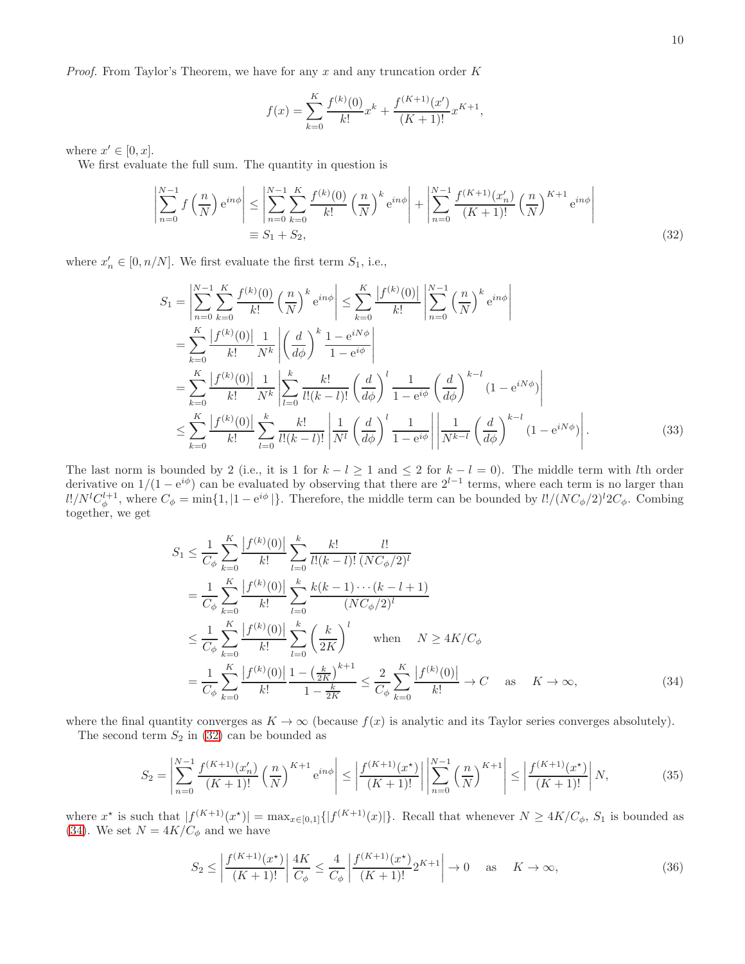*Proof.* From Taylor's Theorem, we have for any x and any truncation order  $K$ 

<span id="page-9-0"></span>
$$
f(x) = \sum_{k=0}^{K} \frac{f^{(k)}(0)}{k!} x^{k} + \frac{f^{(K+1)}(x')}{(K+1)!} x^{K+1},
$$

where  $x' \in [0, x]$ .

We first evaluate the full sum. The quantity in question is

$$
\left| \sum_{n=0}^{N-1} f\left(\frac{n}{N}\right) e^{in\phi} \right| \le \left| \sum_{n=0}^{N-1} \sum_{k=0}^{K} \frac{f^{(k)}(0)}{k!} \left(\frac{n}{N}\right)^k e^{in\phi} \right| + \left| \sum_{n=0}^{N-1} \frac{f^{(K+1)}(x'_n)}{(K+1)!} \left(\frac{n}{N}\right)^{K+1} e^{in\phi} \right|
$$
\n
$$
\equiv S_1 + S_2,
$$
\n(32)

where  $x'_n \in [0, n/N]$ . We first evaluate the first term  $S_1$ , i.e.,

$$
S_{1} = \left| \sum_{n=0}^{N-1} \sum_{k=0}^{K} \frac{f^{(k)}(0)}{k!} \left( \frac{n}{N} \right)^{k} e^{in\phi} \right| \leq \sum_{k=0}^{K} \frac{|f^{(k)}(0)|}{k!} \left| \sum_{n=0}^{N-1} \left( \frac{n}{N} \right)^{k} e^{in\phi} \right|
$$
  
\n
$$
= \sum_{k=0}^{K} \frac{|f^{(k)}(0)|}{k!} \frac{1}{N^{k}} \left| \left( \frac{d}{d\phi} \right)^{k} \frac{1 - e^{iN\phi}}{1 - e^{i\phi}} \right|
$$
  
\n
$$
= \sum_{k=0}^{K} \frac{|f^{(k)}(0)|}{k!} \frac{1}{N^{k}} \left| \sum_{l=0}^{k} \frac{k!}{l!(k-l)!} \left( \frac{d}{d\phi} \right)^{l} \frac{1}{1 - e^{i\phi}} \left( \frac{d}{d\phi} \right)^{k-l} (1 - e^{iN\phi}) \right|
$$
  
\n
$$
\leq \sum_{k=0}^{K} \frac{|f^{(k)}(0)|}{k!} \sum_{l=0}^{k} \frac{k!}{l!(k-l)!} \left| \frac{1}{N^{l}} \left( \frac{d}{d\phi} \right)^{l} \frac{1}{1 - e^{i\phi}} \right| \left| \frac{1}{N^{k-l}} \left( \frac{d}{d\phi} \right)^{k-l} (1 - e^{iN\phi}) \right|.
$$
 (33)

The last norm is bounded by 2 (i.e., it is 1 for  $k - l \ge 1$  and  $\le 2$  for  $k - l = 0$ ). The middle term with lth order derivative on  $1/(1-e^{i\phi})$  can be evaluated by observing that there are  $2^{l-1}$  terms, where each term is no larger than  $l!/N^lC^{l+1}_{\phi}$ , where  $C_{\phi} = \min\{1, |1 - e^{i\phi}| \}$ . Therefore, the middle term can be bounded by  $l!/(NC_{\phi}/2)^l2C_{\phi}$ . Combing together, we get

$$
S_1 \leq \frac{1}{C_{\phi}} \sum_{k=0}^{K} \frac{|f^{(k)}(0)|}{k!} \sum_{l=0}^{k} \frac{k!}{l!(k-l)!} \frac{l!}{(NC_{\phi}/2)^l}
$$
  
\n
$$
= \frac{1}{C_{\phi}} \sum_{k=0}^{K} \frac{|f^{(k)}(0)|}{k!} \sum_{l=0}^{k} \frac{k(k-1)\cdots(k-l+1)}{(NC_{\phi}/2)^l}
$$
  
\n
$$
\leq \frac{1}{C_{\phi}} \sum_{k=0}^{K} \frac{|f^{(k)}(0)|}{k!} \sum_{l=0}^{k} \left(\frac{k}{2K}\right)^l \text{ when } N \geq 4K/C_{\phi}
$$
  
\n
$$
= \frac{1}{C_{\phi}} \sum_{k=0}^{K} \frac{|f^{(k)}(0)|}{k!} \frac{1 - \left(\frac{k}{2K}\right)^{k+1}}{1 - \frac{k}{2K}} \leq \frac{2}{C_{\phi}} \sum_{k=0}^{K} \frac{|f^{(k)}(0)|}{k!} \to C \text{ as } K \to \infty,
$$
 (34)

where the final quantity converges as  $K \to \infty$  (because  $f(x)$  is analytic and its Taylor series converges absolutely).

The second term  $S_2$  in [\(32\)](#page-9-0) can be bounded as

$$
S_2 = \left| \sum_{n=0}^{N-1} \frac{f^{(K+1)}(x'_n)}{(K+1)!} \left(\frac{n}{N}\right)^{K+1} e^{in\phi} \right| \le \left| \frac{f^{(K+1)}(x^*)}{(K+1)!} \right| \left| \sum_{n=0}^{N-1} \left(\frac{n}{N}\right)^{K+1} \right| \le \left| \frac{f^{(K+1)}(x^*)}{(K+1)!} \right| N, \tag{35}
$$

where  $x^*$  is such that  $|f^{(K+1)}(x^*)| = \max_{x \in [0,1]} \{|f^{(K+1)}(x)|\}$ . Recall that whenever  $N \ge 4K/C_\phi$ ,  $S_1$  is bounded as [\(34\)](#page-9-1). We set  $N = 4K/C_{\phi}$  and we have

<span id="page-9-2"></span><span id="page-9-1"></span>
$$
S_2 \le \left| \frac{f^{(K+1)}(x^*)}{(K+1)!} \right| \frac{4K}{C_\phi} \le \frac{4}{C_\phi} \left| \frac{f^{(K+1)}(x^*)}{(K+1)!} 2^{K+1} \right| \to 0 \quad \text{as} \quad K \to \infty,
$$
\n(36)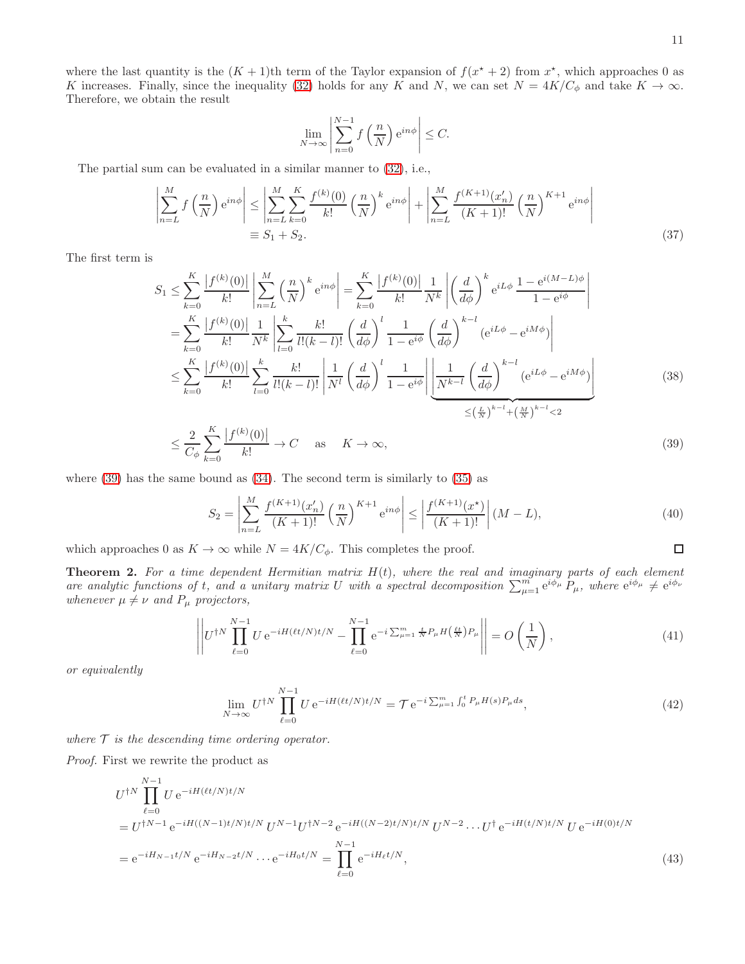where the last quantity is the  $(K + 1)$ <sup>th</sup> term of the Taylor expansion of  $f(x^* + 2)$  from  $x^*$ , which approaches 0 as K increases. Finally, since the inequality [\(32\)](#page-9-0) holds for any K and N, we can set  $N = 4K/C_{\phi}$  and take  $K \to \infty$ . Therefore, we obtain the result

$$
\lim_{N \to \infty} \left| \sum_{n=0}^{N-1} f\left(\frac{n}{N}\right) e^{in\phi} \right| \le C.
$$

The partial sum can be evaluated in a similar manner to [\(32\)](#page-9-0), i.e.,

$$
\left| \sum_{n=L}^{M} f\left(\frac{n}{N}\right) e^{in\phi} \right| \leq \left| \sum_{n=L}^{M} \sum_{k=0}^{K} \frac{f^{(k)}(0)}{k!} \left(\frac{n}{N}\right)^k e^{in\phi} \right| + \left| \sum_{n=L}^{M} \frac{f^{(K+1)}(x'_n)}{(K+1)!} \left(\frac{n}{N}\right)^{K+1} e^{in\phi} \right|
$$
\n
$$
\equiv S_1 + S_2.
$$
\n(37)

The first term is

$$
S_{1} \leq \sum_{k=0}^{K} \frac{|f^{(k)}(0)|}{k!} \left| \sum_{n=L}^{M} \left(\frac{n}{N}\right)^{k} e^{in\phi} \right| = \sum_{k=0}^{K} \frac{|f^{(k)}(0)|}{k!} \frac{1}{N^{k}} \left| \left(\frac{d}{d\phi}\right)^{k} e^{iL\phi} \frac{1 - e^{i(M-L)\phi}}{1 - e^{i\phi}} \right|
$$
  
\n
$$
= \sum_{k=0}^{K} \frac{|f^{(k)}(0)|}{k!} \frac{1}{N^{k}} \left| \sum_{l=0}^{k} \frac{k!}{l!(k-l)!} \left(\frac{d}{d\phi}\right)^{l} \frac{1}{1 - e^{i\phi}} \left(\frac{d}{d\phi}\right)^{k-l} \left(e^{iL\phi} - e^{iM\phi}\right) \right|
$$
  
\n
$$
\leq \sum_{k=0}^{K} \frac{|f^{(k)}(0)|}{k!} \sum_{l=0}^{k} \frac{k!}{l!(k-l)!} \left| \frac{1}{N^{l}} \left(\frac{d}{d\phi}\right)^{l} \frac{1}{1 - e^{i\phi}} \left| \frac{1}{N^{k-l}} \left(\frac{d}{d\phi}\right)^{k-l} \left(e^{iL\phi} - e^{iM\phi}\right) \right|
$$
  
\n
$$
\leq \frac{2}{C_{\phi}} \sum_{k=0}^{K} \frac{|f^{(k)}(0)|}{k!} \to C \quad \text{as} \quad K \to \infty,
$$
  
\n(39)

where  $(39)$  has the same bound as  $(34)$ . The second term is similarly to  $(35)$  as

$$
S_2 = \left| \sum_{n=L}^{M} \frac{f^{(K+1)}(x'_n)}{(K+1)!} \left(\frac{n}{N}\right)^{K+1} e^{in\phi} \right| \le \left| \frac{f^{(K+1)}(x^*)}{(K+1)!} \right| (M-L), \tag{40}
$$

which approaches 0 as  $K \to \infty$  while  $N = 4K/C_{\phi}$ . This completes the proof.

**Theorem 2.** For a time dependent Hermitian matrix  $H(t)$ , where the real and imaginary parts of each element are analytic functions of t, and a unitary matrix U with a spectral decomposition  $\sum_{\mu=1}^m e^{i\phi_\mu} P_\mu$ , where  $e^{i\phi_\mu} \neq e^{i\phi_\nu}$ whenever  $\mu \neq \nu$  and  $P_{\mu}$  projectors,

$$
\left\| U^{\dagger N} \prod_{\ell=0}^{N-1} U e^{-iH(\ell t/N)t/N} - \prod_{\ell=0}^{N-1} e^{-i \sum_{\mu=1}^m \frac{t}{N} P_{\mu} H\left(\frac{\ell t}{N}\right) P_{\mu}} \right\| = O\left(\frac{1}{N}\right),\tag{41}
$$

or equivalently

$$
\lim_{N \to \infty} U^{\dagger N} \prod_{\ell=0}^{N-1} U e^{-iH(\ell t/N)t/N} = \mathcal{T} e^{-i \sum_{\mu=1}^{m} \int_{0}^{t} P_{\mu} H(s) P_{\mu} ds}, \tag{42}
$$

where  $\mathcal T$  is the descending time ordering operator.

Proof. First we rewrite the product as

$$
U^{\dagger N} \prod_{\ell=0}^{N-1} U e^{-iH(\ell t/N)t/N}
$$
  
= 
$$
U^{\dagger N-1} e^{-iH((N-1)t/N)t/N} U^{N-1} U^{\dagger N-2} e^{-iH((N-2)t/N)t/N} U^{N-2} \cdots U^{\dagger} e^{-iH(t/N)t/N} U e^{-iH(0)t/N}
$$
  
= 
$$
e^{-iH_{N-1}t/N} e^{-iH_{N-2}t/N} \cdots e^{-iH_0t/N} = \prod_{\ell=0}^{N-1} e^{-iH_{\ell}t/N},
$$
(43)

<span id="page-10-0"></span> $\Box$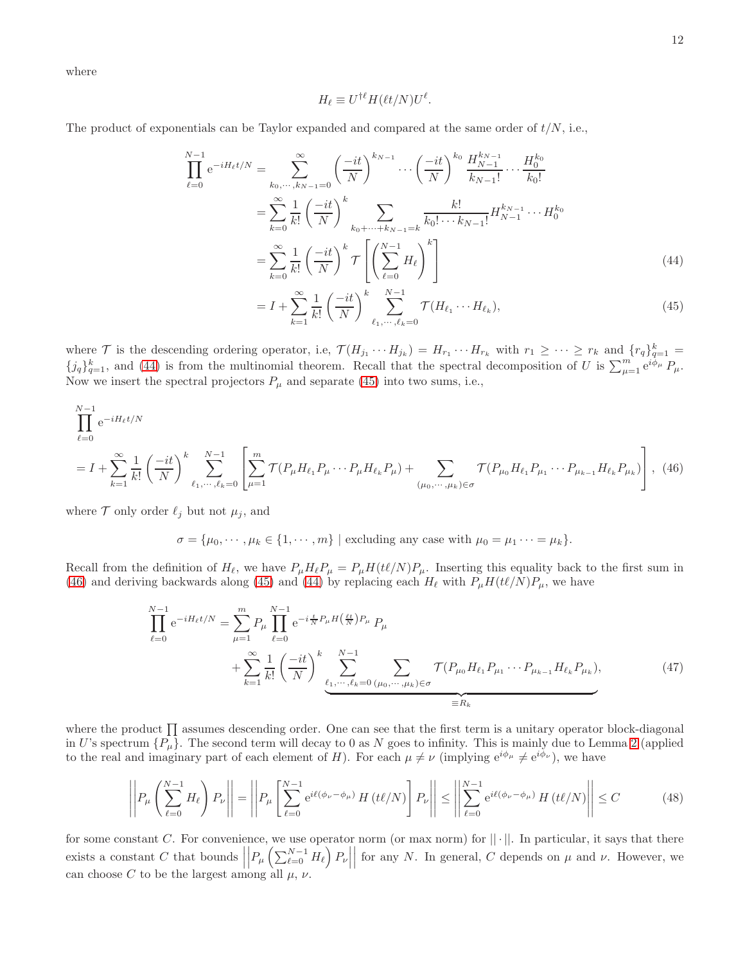where

<span id="page-11-1"></span><span id="page-11-0"></span>
$$
H_{\ell} \equiv U^{\dagger \ell} H(\ell t/N) U^{\ell}.
$$

The product of exponentials can be Taylor expanded and compared at the same order of  $t/N$ , i.e.,

$$
\prod_{\ell=0}^{N-1} e^{-iH_{\ell}t/N} = \sum_{k_0, \dots, k_{N-1}=0}^{\infty} \left(\frac{-it}{N}\right)^{k_{N-1}} \cdots \left(\frac{-it}{N}\right)^{k_0} \frac{H_{N-1}^{k_{N-1}}}{k_{N-1}!} \cdots \frac{H_0^{k_0}}{k_0!}
$$
\n
$$
= \sum_{k=0}^{\infty} \frac{1}{k!} \left(\frac{-it}{N}\right)^k \sum_{k_0 + \dots + k_{N-1}=k} \frac{k!}{k_0! \cdots k_{N-1}!} H_{N-1}^{k_{N-1}} \cdots H_0^{k_0}
$$
\n
$$
= \sum_{k=0}^{\infty} \frac{1}{k!} \left(\frac{-it}{N}\right)^k \mathcal{T} \left[\left(\sum_{\ell=0}^{N-1} H_{\ell}\right)^k\right]
$$
\n
$$
= \sum_{k=0}^{\infty} \frac{1}{k!} \left(-it\right)^k \frac{N-1}{k_{N-1}} \mathcal{T} \left(\frac{N}{k_{N-1}}\right) \tag{44}
$$

<span id="page-11-2"></span>
$$
= I + \sum_{k=1}^{\infty} \frac{1}{k!} \left(\frac{-it}{N}\right)^k \sum_{\ell_1, \cdots, \ell_k = 0}^{N-1} \mathcal{T}(H_{\ell_1} \cdots H_{\ell_k}),
$$
\n(45)

where  $\mathcal T$  is the descending ordering operator, i.e,  $\mathcal T(H_{j_1}\cdots H_{j_k})=H_{r_1}\cdots H_{r_k}$  with  $r_1\geq \cdots \geq r_k$  and  $\{r_q\}_{q=1}^k=1$  ${j_q}_{q=1}^k$ , and [\(44\)](#page-11-0) is from the multinomial theorem. Recall that the spectral decomposition of U is  $\sum_{\mu=1}^m e^{i\phi_\mu} P_\mu$ . Now we insert the spectral projectors  $P_{\mu}$  and separate [\(45\)](#page-11-1) into two sums, i.e.,

$$
\prod_{\ell=0}^{N-1} e^{-iH_{\ell}t/N}
$$
\n
$$
= I + \sum_{k=1}^{\infty} \frac{1}{k!} \left(\frac{-it}{N}\right)^{k} \sum_{\ell_{1}, \cdots, \ell_{k}=0}^{N-1} \left[ \sum_{\mu=1}^{m} \mathcal{T}(P_{\mu}H_{\ell_{1}}P_{\mu} \cdots P_{\mu}H_{\ell_{k}}P_{\mu}) + \sum_{(\mu_{0}, \cdots, \mu_{k}) \in \sigma} \mathcal{T}(P_{\mu_{0}}H_{\ell_{1}}P_{\mu_{1}} \cdots P_{\mu_{k-1}}H_{\ell_{k}}P_{\mu_{k}}) \right], (46)
$$

where  $\mathcal T$  only order  $\ell_j$  but not  $\mu_j$ , and

<span id="page-11-3"></span> $\sigma = {\mu_0, \cdots, \mu_k \in \{1, \cdots, m\} \mid \text{excluding any case with } \mu_0 = \mu_1 \cdots = \mu_k}.$ 

Recall from the definition of  $H_{\ell}$ , we have  $P_{\mu}H_{\ell}P_{\mu} = P_{\mu}H(t\ell/N)P_{\mu}$ . Inserting this equality back to the first sum in [\(46\)](#page-11-2) and deriving backwards along [\(45\)](#page-11-1) and [\(44\)](#page-11-0) by replacing each  $H_{\ell}$  with  $P_{\mu}H(t\ell/N)P_{\mu}$ , we have

$$
\prod_{\ell=0}^{N-1} e^{-iH_{\ell}t/N} = \sum_{\mu=1}^{m} P_{\mu} \prod_{\ell=0}^{N-1} e^{-i\frac{t}{N}P_{\mu}H(\frac{\ell t}{N})P_{\mu}} P_{\mu} \n+ \sum_{k=1}^{\infty} \frac{1}{k!} \left(\frac{-it}{N}\right)^{k} \sum_{\ell_{1},\dots,\ell_{k}=0}^{N-1} \sum_{(\mu_{0},\dots,\mu_{k}) \in \sigma} \mathcal{T}(P_{\mu_{0}} H_{\ell_{1}} P_{\mu_{1}} \cdots P_{\mu_{k-1}} H_{\ell_{k}} P_{\mu_{k}}),
$$
\n(47)

where the product  $\prod$  assumes descending order. One can see that the first term is a unitary operator block-diagonal in U's spectrum  $\{P_\mu\}$ . The second term will decay to 0 as N goes to infinity. This is mainly due to Lemma [2](#page-8-1) (applied to the real and imaginary part of each element of H). For each  $\mu \neq \nu$  (implying  $e^{i\phi_{\mu}} \neq e^{i\phi_{\nu}}$ ), we have

$$
\left| \left| P_{\mu} \left( \sum_{\ell=0}^{N-1} H_{\ell} \right) P_{\nu} \right| \right| = \left| \left| P_{\mu} \left[ \sum_{\ell=0}^{N-1} e^{i\ell(\phi_{\nu} - \phi_{\mu})} H(t\ell/N) \right] P_{\nu} \right| \right| \leq \left| \left| \sum_{\ell=0}^{N-1} e^{i\ell(\phi_{\nu} - \phi_{\mu})} H(t\ell/N) \right| \right| \leq C \tag{48}
$$

for some constant C. For convenience, we use operator norm (or max norm) for  $|| \cdot ||$ . In particular, it says that there exists a constant  $C$  that bounds  $\Big|$  $\left| P_{\mu}\left(\sum_{\ell=0}^{N-1} H_{\ell}\right) P_{\nu} \right|$ for any N. In general, C depends on  $\mu$  and  $\nu$ . However, we can choose C to be the largest among all  $\mu$ ,  $\nu$ .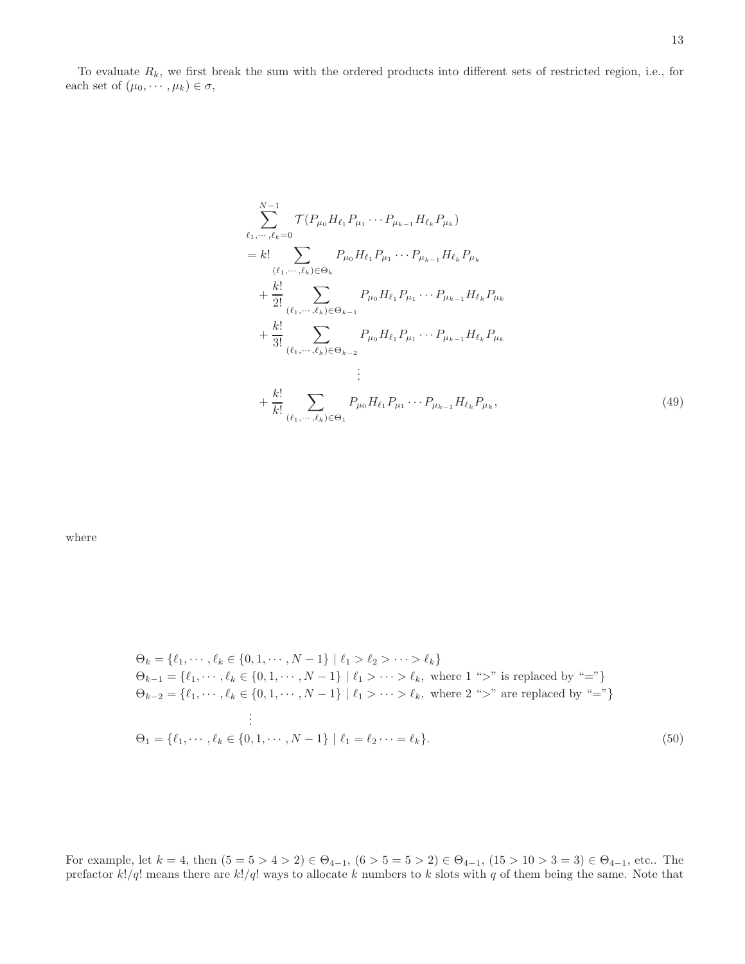To evaluate  $R_k$ , we first break the sum with the ordered products into different sets of restricted region, i.e., for each set of  $(\mu_0, \dots, \mu_k) \in \sigma$ ,

$$
\sum_{\ell_1,\dots,\ell_k=0}^{N-1} \mathcal{T}(P_{\mu_0} H_{\ell_1} P_{\mu_1} \cdots P_{\mu_{k-1}} H_{\ell_k} P_{\mu_k})
$$
\n
$$
= k! \sum_{(\ell_1,\dots,\ell_k)\in\Theta_k} P_{\mu_0} H_{\ell_1} P_{\mu_1} \cdots P_{\mu_{k-1}} H_{\ell_k} P_{\mu_k}
$$
\n
$$
+ \frac{k!}{2!} \sum_{(\ell_1,\dots,\ell_k)\in\Theta_{k-1}} P_{\mu_0} H_{\ell_1} P_{\mu_1} \cdots P_{\mu_{k-1}} H_{\ell_k} P_{\mu_k}
$$
\n
$$
+ \frac{k!}{3!} \sum_{(\ell_1,\dots,\ell_k)\in\Theta_{k-2}} P_{\mu_0} H_{\ell_1} P_{\mu_1} \cdots P_{\mu_{k-1}} H_{\ell_k} P_{\mu_k}
$$
\n
$$
\vdots
$$
\n
$$
+ \frac{k!}{k!} \sum_{(\ell_1,\dots,\ell_k)\in\Theta_1} P_{\mu_0} H_{\ell_1} P_{\mu_1} \cdots P_{\mu_{k-1}} H_{\ell_k} P_{\mu_k}, \qquad (49)
$$

where

$$
\Theta_k = \{\ell_1, \dots, \ell_k \in \{0, 1, \dots, N - 1\} \mid \ell_1 > \ell_2 > \dots > \ell_k\}
$$
  
\n
$$
\Theta_{k-1} = \{\ell_1, \dots, \ell_k \in \{0, 1, \dots, N - 1\} \mid \ell_1 > \dots > \ell_k, \text{ where } 1 \text{ "}>" \text{ is replaced by "="}\}
$$
  
\n
$$
\Theta_{k-2} = \{\ell_1, \dots, \ell_k \in \{0, 1, \dots, N - 1\} \mid \ell_1 > \dots > \ell_k, \text{ where } 2 \text{ "}>" \text{ are replaced by "="}\}
$$
  
\n
$$
\vdots
$$
  
\n
$$
\Theta_1 = \{\ell_1, \dots, \ell_k \in \{0, 1, \dots, N - 1\} \mid \ell_1 = \ell_2 \dots = \ell_k\}. \tag{50}
$$

For example, let  $k = 4$ , then  $(5 = 5 > 4 > 2) \in \Theta_{4-1}$ ,  $(6 > 5 = 5 > 2) \in \Theta_{4-1}$ ,  $(15 > 10 > 3 = 3) \in \Theta_{4-1}$ , etc.. The prefactor  $k!/q!$  means there are  $k!/q!$  ways to allocate k numbers to k slots with q of them being the same. Note that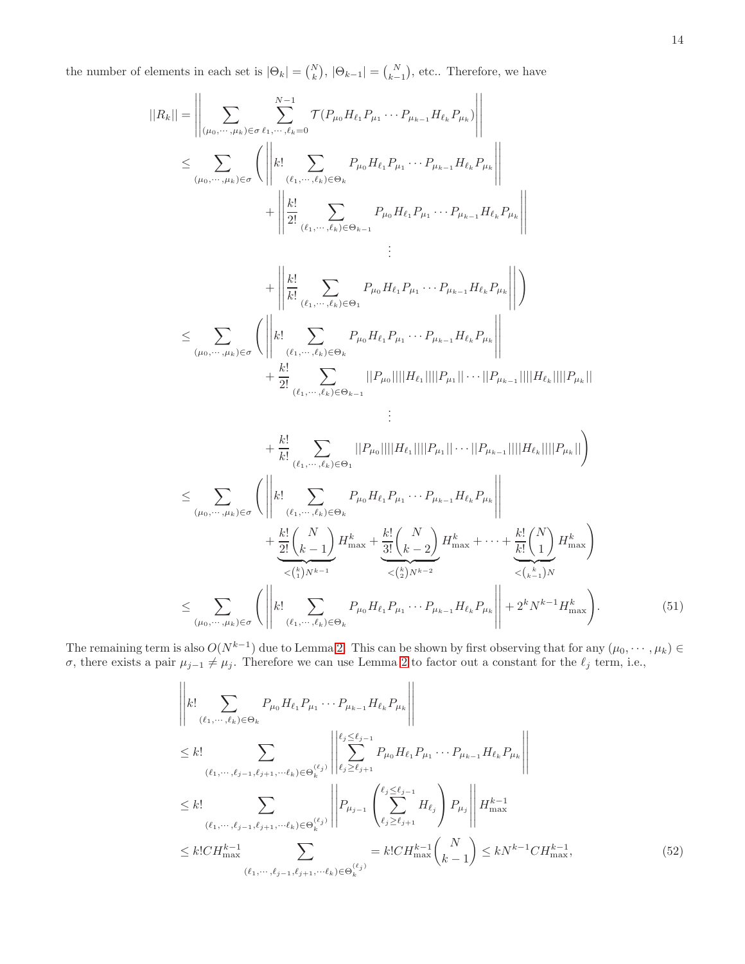the number of elements in each set is  $|\Theta_k| = {N \choose k}, |\Theta_{k-1}| = {N \choose k-1}$ , etc.. Therefore, we have

$$
||R_{k}|| = \left\| \sum_{(\mu_{0}, \cdots, \mu_{k}) \in \sigma} \sum_{\ell_{1}, \cdots, \ell_{k} = 0}^{N-1} \mathcal{T}(P_{\mu_{0}} H_{\ell_{1}} P_{\mu_{1}} \cdots P_{\mu_{k-1}} H_{\ell_{k}} P_{\mu_{k}}) \right\|
$$
  

$$
\leq \sum_{(\mu_{0}, \cdots, \mu_{k}) \in \sigma} \left( \left\| k! \sum_{(\ell_{1}, \cdots, \ell_{k}) \in \Theta_{k}} P_{\mu_{0}} H_{\ell_{1}} P_{\mu_{1}} \cdots P_{\mu_{k-1}} H_{\ell_{k}} P_{\mu_{k}} \right\| + \left\| \frac{k!}{2!} \sum_{(\ell_{1}, \cdots, \ell_{k}) \in \Theta_{k-1}} P_{\mu_{0}} H_{\ell_{1}} P_{\mu_{1}} \cdots P_{\mu_{k-1}} H_{\ell_{k}} P_{\mu_{k}} \right\|
$$
  

$$
\vdots
$$

$$
\leq \sum_{(\mu_0, \cdots, \mu_k) \in \sigma} \left( \left\| \sum_{k=1}^{k} \sum_{(\ell_1, \cdots, \ell_k) \in \Theta_1} P_{\mu_0} H_{\ell_1} P_{\mu_1} \cdots P_{\mu_{k-1}} H_{\ell_k} P_{\mu_k} \right\| \right)
$$
  

$$
\leq \sum_{(\mu_0, \cdots, \mu_k) \in \sigma} \left( \left\| k! \sum_{(\ell_1, \cdots, \ell_k) \in \Theta_k} P_{\mu_0} H_{\ell_1} P_{\mu_1} \cdots P_{\mu_{k-1}} H_{\ell_k} P_{\mu_k} \right\|
$$
  

$$
+ \frac{k!}{2!} \sum_{(\ell_1, \cdots, \ell_k) \in \Theta_{k-1}} ||P_{\mu_0}|| ||H_{\ell_1}|| ||P_{\mu_1}|| \cdots ||P_{\mu_{k-1}}||||H_{\ell_k}||||P_{\mu_k}||
$$
  

$$
\vdots
$$

$$
+\frac{k!}{k!} \sum_{(\ell_{1},\dots,\ell_{k})\in\Theta_{1}} ||P_{\mu_{0}}|| ||H_{\ell_{1}}|| ||P_{\mu_{1}}|| \cdots ||P_{\mu_{k-1}}|| ||H_{\ell_{k}}|| ||P_{\mu_{k}}||)
$$
  
\n
$$
\leq \sum_{(\mu_{0},\dots,\mu_{k})\in\sigma} \left( \left\| k! \sum_{(\ell_{1},\dots,\ell_{k})\in\Theta_{k}} P_{\mu_{0}} H_{\ell_{1}} P_{\mu_{1}} \cdots P_{\mu_{k-1}} H_{\ell_{k}} P_{\mu_{k}} \right\| + \frac{k!}{2!} \left( \frac{N}{k-1} \right) H_{\max}^{k} + \frac{k!}{3!} \left( \frac{N}{k-2} \right) H_{\max}^{k} + \cdots + \frac{k!}{k!} \left( \frac{N}{1} \right) H_{\max}^{k}
$$
  
\n
$$
\leq \sum_{(\mu_{0},\dots,\mu_{k})\in\sigma} \left( \left\| k! \sum_{(\ell_{1},\dots,\ell_{k})\in\Theta_{k}} P_{\mu_{0}} H_{\ell_{1}} P_{\mu_{1}} \cdots P_{\mu_{k-1}} H_{\ell_{k}} P_{\mu_{k}} \right\| + 2^{k} N^{k-1} H_{\max}^{k} \right). \tag{51}
$$

The remaining term is also  $O(N^{k-1})$  due to Lemma [2.](#page-8-1) This can be shown by first observing that for any  $(\mu_0, \dots, \mu_k)$ σ, there exists a pair  $μ_{j-1} ≠ μ_j$ . Therefore we can use Lemma [2](#page-8-1) to factor out a constant for the  $ℓ_j$  term, i.e.,

<span id="page-13-1"></span><span id="page-13-0"></span>
$$
\left\| k! \sum_{(\ell_1, \dots, \ell_k) \in \Theta_k} P_{\mu_0} H_{\ell_1} P_{\mu_1} \cdots P_{\mu_{k-1}} H_{\ell_k} P_{\mu_k} \right\|
$$
\n
$$
\leq k! \sum_{(\ell_1, \dots, \ell_{j-1}, \ell_{j+1}, \dots, \ell_k) \in \Theta_k^{(\ell_j)}} \left\| \sum_{\ell_j \geq \ell_{j-1}}^{e_j \leq \ell_{j-1}} P_{\mu_0} H_{\ell_1} P_{\mu_1} \cdots P_{\mu_{k-1}} H_{\ell_k} P_{\mu_k} \right\|
$$
\n
$$
\leq k! \sum_{(\ell_1, \dots, \ell_{j-1}, \ell_{j+1}, \dots, \ell_k) \in \Theta_k^{(\ell_j)}} \left\| P_{\mu_{j-1}} \left( \sum_{\ell_j \geq \ell_{j+1}}^{\ell_j \leq \ell_{j-1}} H_{\ell_j} \right) P_{\mu_j} \right\| H_{\max}^{k-1}
$$
\n
$$
\leq k! C H_{\max}^{k-1} \sum_{(\ell_1, \dots, \ell_{j-1}, \ell_{j+1}, \dots, \ell_k) \in \Theta_k^{(\ell_j)}} = k! C H_{\max}^{k-1} {N \choose k-1} \leq k N^{k-1} C H_{\max}^{k-1}, \tag{52}
$$